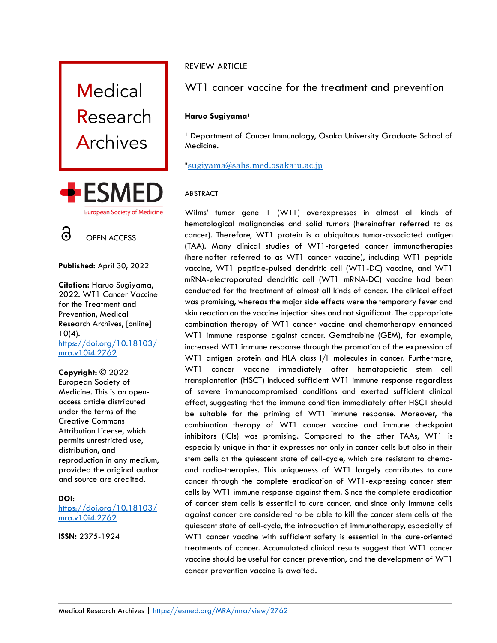

**Published:** April 30, 2022

**Citation:** Haruo Sugiyama, 2022. WT1 Cancer Vaccine for the Treatment and Prevention, Medical Research Archives, [online] 10(4). [https://doi.org/10.18103/](https://doi.org/10.18103/mra.v10i4.2762) [mra.v10i4.2762](https://doi.org/10.18103/mra.v10i4.2762)

**Copyright:** © 2022

European Society of Medicine. This is an openaccess article distributed under the terms of the Creative Commons Attribution License, which permits unrestricted use, distribution, and reproduction in any medium, provided the original author and source are credited.

# **DOI:**

[https://doi.org/10.18103/](https://doi.org/10.18103/mra.v10i4.2762) [mra.v10i4.2762](https://doi.org/10.18103/mra.v10i4.2762)

**ISSN:** 2375-1924

# REVIEW ARTICLE

# WT1 cancer vaccine for the treatment and prevention

# **Haruo Sugiyama<sup>1</sup>**

<sup>1</sup> Department of Cancer Immunology, Osaka University Graduate School of Medicine.

\*[sugiyama@sahs.med.osaka-u.ac,jp](mailto:sugiyama@sahs.med.osaka-u.ac,jp)

# ABSTRACT

Wilms' tumor gene 1 (WT1) overexpresses in almost all kinds of hematological malignancies and solid tumors (hereinafter referred to as cancer). Therefore, WT1 protein is a ubiquitous tumor-associated antigen (TAA). Many clinical studies of WT1-targeted cancer immunotherapies (hereinafter referred to as WT1 cancer vaccine), including WT1 peptide vaccine, WT1 peptide-pulsed dendritic cell (WT1-DC) vaccine, and WT1 mRNA-electroporated dendritic cell (WT1 mRNA-DC) vaccine had been conducted for the treatment of almost all kinds of cancer. The clinical effect was promising, whereas the major side effects were the temporary fever and skin reaction on the vaccine injection sites and not significant. The appropriate combination therapy of WT1 cancer vaccine and chemotherapy enhanced WT1 immune response against cancer. Gemcitabine (GEM), for example, increased WT1 immune response through the promotion of the expression of WT1 antigen protein and HLA class I/II molecules in cancer. Furthermore, WT1 cancer vaccine immediately after hematopoietic stem cell transplantation (HSCT) induced sufficient WT1 immune response regardless of severe immunocompromised conditions and exerted sufficient clinical effect, suggesting that the immune condition immediately after HSCT should be suitable for the priming of WT1 immune response. Moreover, the combination therapy of WT1 cancer vaccine and immune checkpoint inhibitors (ICIs) was promising. Compared to the other TAAs, WT1 is especially unique in that it expresses not only in cancer cells but also in their stem cells at the quiescent state of cell-cycle, which are resistant to chemoand radio-therapies. This uniqueness of WT1 largely contributes to cure cancer through the complete eradication of WT1-expressing cancer stem cells by WT1 immune response against them. Since the complete eradication of cancer stem cells is essential to cure cancer, and since only immune cells against cancer are considered to be able to kill the cancer stem cells at the quiescent state of cell-cycle, the introduction of immunotherapy, especially of WT1 cancer vaccine with sufficient safety is essential in the cure-oriented treatments of cancer. Accumulated clinical results suggest that WT1 cancer vaccine should be useful for cancer prevention, and the development of WT1 cancer prevention vaccine is awaited.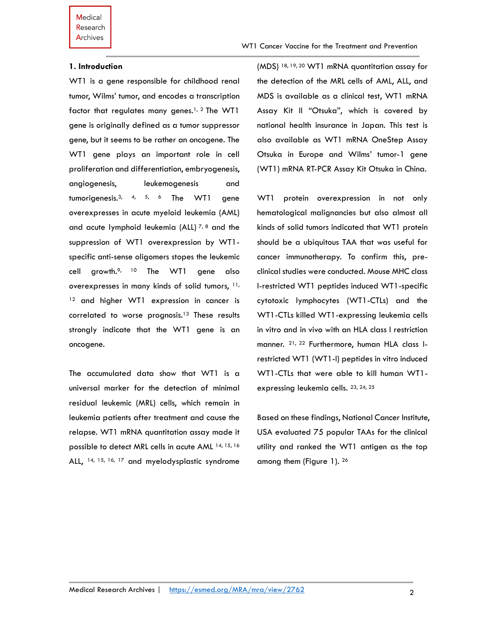#### **1. Introduction**

WT1 is a gene responsible for childhood renal tumor, Wilms' tumor, and encodes a transcription factor that regulates many genes. 1, 2 The WT1 gene is originally defined as a tumor suppressor gene, but it seems to be rather an oncogene. The WT1 gene plays an important role in cell proliferation and differentiation, embryogenesis, angiogenesis, leukemogenesis and tumorigenesis.3, 4, 5, 6 The WT1 gene overexpresses in acute myeloid leukemia (AML) and acute lymphoid leukemia (ALL)  $7, 8$  and the suppression of WT1 overexpression by WT1 specific anti-sense oligomers stopes the leukemic cell growth. $9$ , 10 The WT1 gene also overexpresses in many kinds of solid tumors, <sup>11,</sup> <sup>12</sup> and higher WT1 expression in cancer is correlated to worse prognosis.<sup>13</sup> These results strongly indicate that the WT1 gene is an oncogene.

The accumulated data show that WT1 is a universal marker for the detection of minimal residual leukemic (MRL) cells, which remain in leukemia patients after treatment and cause the relapse. WT1 mRNA quantitation assay made it possible to detect MRL cells in acute AML 14, 15, <sup>16</sup> ALL, <sup>14, 15, 16, 17</sup> and myelodysplastic syndrome (MDS) 18, 19, 20 WT1 mRNA quantitation assay for the detection of the MRL cells of AML, ALL, and MDS is available as a clinical test, WT1 mRNA Assay Kit II "Otsuka", which is covered by national health insurance in Japan. This test is also available as WT1 mRNA OneStep Assay Otsuka in Europe and Wilms' tumor-1 gene (WT1) mRNA RT-PCR Assay Kit Otsuka in China.

WT1 protein overexpression in not only hematological malignancies but also almost all kinds of solid tumors indicated that WT1 protein should be a ubiquitous TAA that was useful for cancer immunotherapy. To confirm this, preclinical studies were conducted. Mouse MHC class I-restricted WT1 peptides induced WT1-specific cytotoxic lymphocytes (WT1-CTLs) and the WT1-CTLs killed WT1-expressing leukemia cells in vitro and in vivo with an HLA class I restriction manner. 21, 22 Furthermore, human HLA class Irestricted WT1 (WT1-I) peptides in vitro induced WT1-CTLs that were able to kill human WT1 expressing leukemia cells. 23, 24, 25

Based on these findings, National Cancer Institute, USA evaluated 75 popular TAAs for the clinical utility and ranked the WT1 antigen as the top among them (Figure 1). 26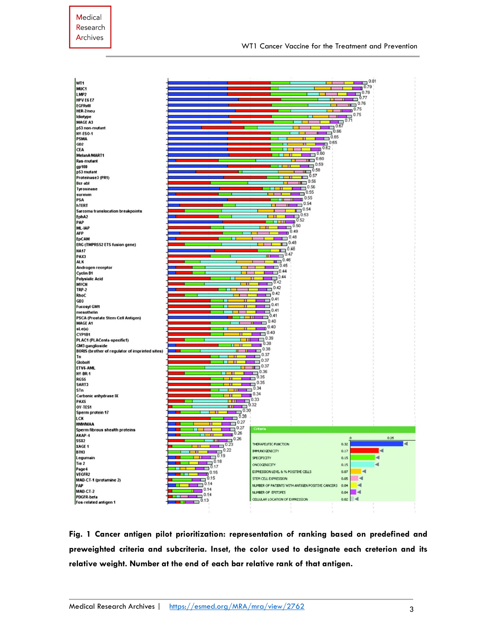| WT <sub>1</sub>                                                    |                                                                                                                                                                                                                                      |                                                  | 0.81<br>−                            |
|--------------------------------------------------------------------|--------------------------------------------------------------------------------------------------------------------------------------------------------------------------------------------------------------------------------------|--------------------------------------------------|--------------------------------------|
| MUC1                                                               |                                                                                                                                                                                                                                      |                                                  | 0.79                                 |
| LMP2                                                               |                                                                                                                                                                                                                                      |                                                  | 0.78                                 |
| HPV E6 E7                                                          |                                                                                                                                                                                                                                      |                                                  | 0.77                                 |
| <b>EGFRullI</b>                                                    |                                                                                                                                                                                                                                      |                                                  | 0.76<br>m —                          |
| HER-2/neu                                                          |                                                                                                                                                                                                                                      |                                                  | $\overline{10}$ .75                  |
| Idiotype                                                           |                                                                                                                                                                                                                                      |                                                  | 0.75<br>ш                            |
| MAGE A3                                                            |                                                                                                                                                                                                                                      |                                                  | 0.71                                 |
| p53 non-mutant                                                     |                                                                                                                                                                                                                                      | 0.66                                             | 0.67                                 |
| NY-ESO-1                                                           |                                                                                                                                                                                                                                      | 0.65                                             |                                      |
| <b>PSMA</b>                                                        |                                                                                                                                                                                                                                      | $\overline{1}^{0.65}$                            |                                      |
| GD2                                                                |                                                                                                                                                                                                                                      | $\overline{10.62}$                               |                                      |
| <b>CEA</b>                                                         |                                                                                                                                                                                                                                      | 0.60                                             |                                      |
| MelanA/MART1                                                       |                                                                                                                                                                                                                                      | $\overline{111}$ 0.60                            |                                      |
| Ras-mutant                                                         |                                                                                                                                                                                                                                      | 0.59                                             |                                      |
| gp100                                                              |                                                                                                                                                                                                                                      | 0.58<br>m                                        |                                      |
| p53 mutant                                                         |                                                                                                                                                                                                                                      | 0.57                                             |                                      |
| Proteinase3 (PR1)                                                  |                                                                                                                                                                                                                                      | 0.56                                             |                                      |
| Bcr-abl<br><b>Tyrosinase</b>                                       |                                                                                                                                                                                                                                      | 0.56                                             |                                      |
| survivin                                                           |                                                                                                                                                                                                                                      | 0.55                                             |                                      |
| PSA                                                                |                                                                                                                                                                                                                                      | 0.55                                             |                                      |
| hTERT                                                              |                                                                                                                                                                                                                                      | 0.54                                             |                                      |
| Sarcoma translocation breakpoints                                  |                                                                                                                                                                                                                                      | 0.54<br>╓┓                                       |                                      |
| EphA2                                                              |                                                                                                                                                                                                                                      | 0.53                                             |                                      |
| PAP                                                                |                                                                                                                                                                                                                                      | 0.52<br>ш<br>n                                   |                                      |
| ML-IAP                                                             |                                                                                                                                                                                                                                      | 0.50<br>ш                                        |                                      |
| <b>AFP</b>                                                         |                                                                                                                                                                                                                                      | 0.49                                             |                                      |
| <b>EpCAM</b>                                                       |                                                                                                                                                                                                                                      | 0.48                                             |                                      |
| ERG (TMPRSS2 ETS fusion gene)                                      |                                                                                                                                                                                                                                      | 0.48                                             |                                      |
| <b>NA17</b>                                                        |                                                                                                                                                                                                                                      | Ő.48                                             |                                      |
| PAX3                                                               |                                                                                                                                                                                                                                      | 0.47                                             |                                      |
| <b>ALK</b>                                                         |                                                                                                                                                                                                                                      | 0.46<br>π                                        |                                      |
| Androgen receptor                                                  |                                                                                                                                                                                                                                      | 0.45                                             |                                      |
| <b>Cyclin B1</b>                                                   |                                                                                                                                                                                                                                      | 0.44<br>п                                        |                                      |
| <b>Polysialic Acid</b>                                             |                                                                                                                                                                                                                                      | 0.44                                             |                                      |
| <b>MYCN</b>                                                        |                                                                                                                                                                                                                                      | 0.42                                             |                                      |
| <b>TRP-2</b>                                                       |                                                                                                                                                                                                                                      | 0.42                                             |                                      |
| RhoC                                                               |                                                                                                                                                                                                                                      | 0.42                                             |                                      |
| GD3                                                                |                                                                                                                                                                                                                                      | 0.41                                             |                                      |
| <b>Fucosyl GM1</b>                                                 |                                                                                                                                                                                                                                      | 0.41                                             |                                      |
| mesothelin                                                         |                                                                                                                                                                                                                                      | 0.41                                             |                                      |
| PSCA (Prostate Stem Cell Antigen)                                  |                                                                                                                                                                                                                                      | 0.40                                             |                                      |
| <b>MAGE A1</b>                                                     |                                                                                                                                                                                                                                      | 0.40                                             |                                      |
| sLe(a)                                                             |                                                                                                                                                                                                                                      | п<br>0.40                                        |                                      |
| CYP1B1                                                             |                                                                                                                                                                                                                                      | 0.39                                             |                                      |
| PLAC1 (PLACenta-specific1)                                         |                                                                                                                                                                                                                                      | 0.38                                             |                                      |
| GM3 ganglioside<br>BORIS (brother of regulator of imprinted sites) |                                                                                                                                                                                                                                      | 0.38                                             |                                      |
| Tn                                                                 |                                                                                                                                                                                                                                      | 0.37                                             |                                      |
| GloboH                                                             | π                                                                                                                                                                                                                                    | 0.37                                             |                                      |
| ETV6-AML                                                           |                                                                                                                                                                                                                                      | 0.37                                             |                                      |
| NY-BR-1                                                            |                                                                                                                                                                                                                                      | 0.36                                             |                                      |
| RGS5                                                               |                                                                                                                                                                                                                                      | 0.35                                             |                                      |
| SART3                                                              |                                                                                                                                                                                                                                      | 0.35                                             |                                      |
| STn                                                                |                                                                                                                                                                                                                                      | 0.34                                             |                                      |
| Carbonic anhydrase IX                                              |                                                                                                                                                                                                                                      | 0.34                                             |                                      |
| PAX5                                                               | г                                                                                                                                                                                                                                    | 0.33                                             |                                      |
| OY-TES1                                                            | П                                                                                                                                                                                                                                    | 0.32                                             |                                      |
| Sperm protein 17                                                   | 0.30                                                                                                                                                                                                                                 |                                                  |                                      |
| LCK                                                                | 0.28                                                                                                                                                                                                                                 |                                                  |                                      |
| <b>HMWMAA</b>                                                      | $\Box$ <sup>0.27</sup>                                                                                                                                                                                                               |                                                  |                                      |
| Sperm fibrous shealth proteins                                     | 0.27                                                                                                                                                                                                                                 | <b>Criteria</b>                                  |                                      |
| AKAP-4                                                             | 0.26                                                                                                                                                                                                                                 |                                                  |                                      |
| SSX <sub>2</sub>                                                   | 0.26<br>.<br>−                                                                                                                                                                                                                       | THERAPEUTIC FUNCTION                             | 0.25<br>$\blacktriangleleft$<br>0.32 |
| XAGE 1                                                             | $\Box$ <sup>0.23</sup><br>0.22                                                                                                                                                                                                       |                                                  |                                      |
| <b>B7H3</b>                                                        | <b>The Contract of the Contract of the Contract of the Contract of the Contract of the Contract of the Contract of the Contract of the Contract of the Contract of the Contract of the Contract of The Contract of The Contract </b> | <b>IMMUNOGENICITY</b>                            | ₫<br>0.17                            |
| Legumain                                                           | $\Box$ 0.19<br>п<br>$\overline{1}$ 0.18                                                                                                                                                                                              | SPECIFICITY                                      | ◀<br>0.15                            |
| Tie 2                                                              |                                                                                                                                                                                                                                      | ONCOGENICITY                                     | ◀<br>0.15                            |
|                                                                    |                                                                                                                                                                                                                                      |                                                  |                                      |
| Page4                                                              | 0.17<br>$\mathbf{L}$                                                                                                                                                                                                                 | EXPRESSION LEVEL & % POSITIVE CELLS              | 0.07<br>4                            |
| VEGFR2                                                             | $\mathbb{D}^{0.16}$                                                                                                                                                                                                                  |                                                  |                                      |
| MAD-CT-1 (protamine 2)                                             | 0.15<br>□                                                                                                                                                                                                                            | STEM CELL EXPRESSION                             | ۰<br>0.05                            |
| FAP                                                                | 0.14                                                                                                                                                                                                                                 | NUMBER OF PATIENTS WITH ANTIGEN POSITIVE CANCERS | 0.04                                 |
| MAD-CT-2                                                           | 0.14<br>0.14                                                                                                                                                                                                                         | NUMBER OF EPITOPES                               | ◀<br>0.04                            |
| PDGFR-beta                                                         | 0.13                                                                                                                                                                                                                                 | CELLULAR LOCATION OF EXPRESSION                  | $0.02$ $\blacktriangleleft$          |
| Fos-related antigen 1                                              | П                                                                                                                                                                                                                                    |                                                  |                                      |

**Fig. 1 Cancer antigen pilot prioritization: representation of ranking based on predefined and preweighted criteria and subcriteria. Inset, the color used to designate each creterion and its relative weight. Number at the end of each bar relative rank of that antigen.**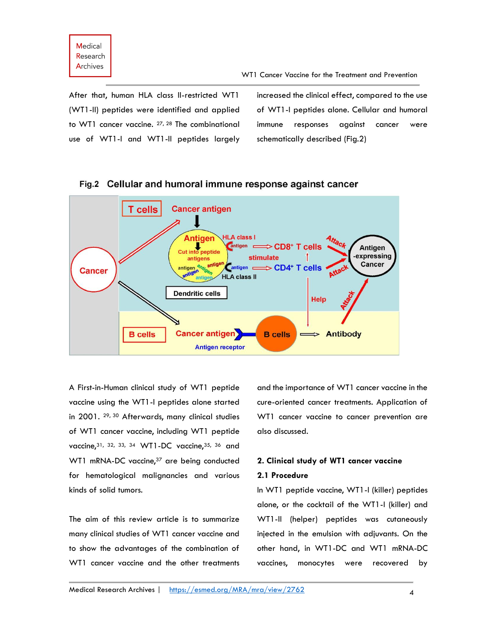After that, human HLA class II-restricted WT1 (WT1-II) peptides were identified and applied to WT1 cancer vaccine. 27, 28 The combinational use of WT1-I and WT1-II peptides largely

increased the clinical effect, compared to the use of WT1-I peptides alone. Cellular and humoral immune responses against cancer were schematically described (Fig.2)



Fig. 2 Cellular and humoral immune response against cancer

A First-in-Human clinical study of WT1 peptide vaccine using the WT1-I peptides alone started in 2001. <sup>29, 30</sup> Afterwards, many clinical studies of WT1 cancer vaccine, including WT1 peptide vaccine, 31, 32, 33, 34 WT1-DC vaccine, 35, 36 and WT1 mRNA-DC vaccine,<sup>37</sup> are being conducted for hematological malignancies and various kinds of solid tumors.

The aim of this review article is to summarize many clinical studies of WT1 cancer vaccine and to show the advantages of the combination of WT1 cancer vaccine and the other treatments and the importance of WT1 cancer vaccine in the cure-oriented cancer treatments. Application of WT1 cancer vaccine to cancer prevention are also discussed.

# **2. Clinical study of WT1 cancer vaccine**

# **2.1 Procedure**

In WT1 peptide vaccine, WT1-I (killer) peptides alone, or the cocktail of the WT1-I (killer) and WT1-II (helper) peptides was cutaneously injected in the emulsion with adjuvants. On the other hand, in WT1-DC and WT1 mRNA-DC vaccines, monocytes were recovered by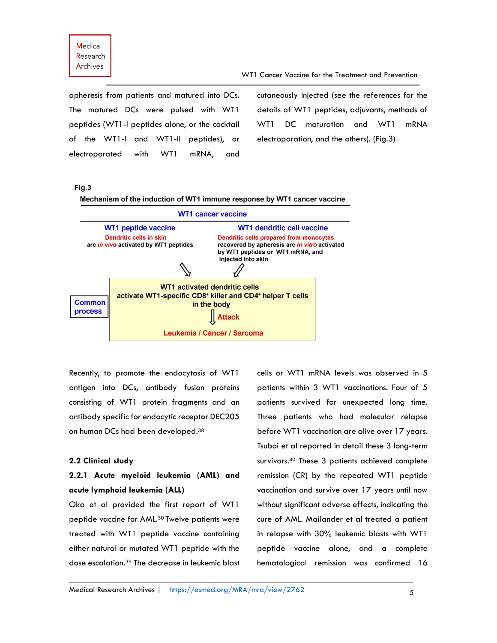apheresis from patients and matured into DCs. The matured DCs were pulsed with WT1 peptides (WT1-I peptides alone, or the cocktail of the WT1-I and WT1-II peptides), or electroporated with WT1 mRNA, and cutaneously injected (see the references for the details of WT1 peptides, adjuvants, methods of WT1 DC maturation and WT1 mRNA electroporation, and the others). (Fig.3)

### Fig.3

Mechanism of the induction of WT1 immune response by WT1 cancer vaccine



Recently, to promote the endocytosis of WT1 antigen into DCs, antibody fusion proteins consisting of WT1 protein fragments and an antibody specific for endocytic receptor DEC205 on human DCs had been developed.<sup>38</sup>

#### **2.2 Clinical study**

# **2.2.1 Acute myeloid leukemia (AML) and acute lymphoid leukemia (ALL)**

Oka et al provided the first report of WT1 peptide vaccine for AML.<sup>30</sup> Twelve patients were treated with WT1 peptide vaccine containing either natural or mutated WT1 peptide with the dose escalation.<sup>39</sup> The decrease in leukemic blast cells or WT1 mRNA levels was observed in 5 patients within 3 WT1 vaccinations. Four of 5 patients survived for unexpected long time. Three patients who had molecular relapse before WT1 vaccination are alive over 17 years. Tsuboi et al reported in detail these 3 long-term survivors. <sup>40</sup> These 3 patients achieved complete remission (CR) by the repeated WT1 peptide vaccination and survive over 17 years until now without significant adverse effects, indicating the cure of AML. Mailander et al treated a patient in relapse with 30% leukemic blasts with WT1 peptide vaccine alone, and a complete hematological remission was confirmed 16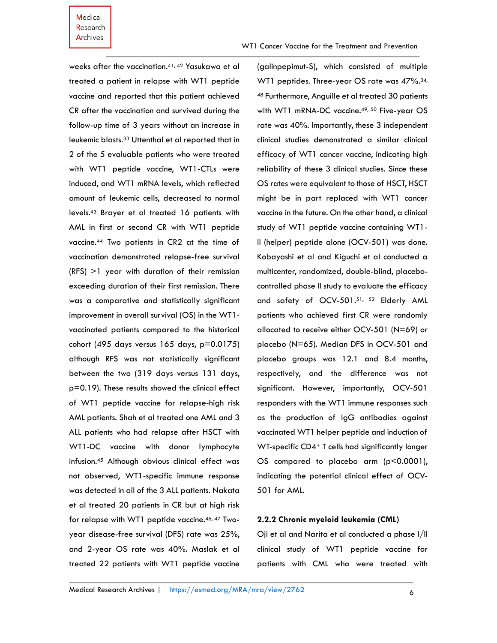weeks after the vaccination.41, 42 Yasukawa et al treated a patient in relapse with WT1 peptide vaccine and reported that this patient achieved CR after the vaccination and survived during the follow-up time of 3 years without an increase in leukemic blasts.<sup>33</sup> Uttenthal et al reported that in 2 of the 5 evaluable patients who were treated with WT1 peptide vaccine, WT1-CTLs were induced, and WT1 mRNA levels, which reflected amount of leukemic cells, decreased to normal levels.<sup>43</sup> Brayer et al treated 16 patients with AML in first or second CR with WT1 peptide vaccine.<sup>44</sup> Two patients in CR2 at the time of vaccination demonstrated relapse-free survival (RFS) >1 year with duration of their remission exceeding duration of their first remission. There was a comparative and statistically significant improvement in overall survival (OS) in the WT1 vaccinated patients compared to the historical cohort (495 days versus 165 days, p=0.0175) although RFS was not statistically significant between the two (319 days versus 131 days, p=0.19). These results showed the clinical effect of WT1 peptide vaccine for relapse-high risk AML patients. Shah et al treated one AML and 3 ALL patients who had relapse after HSCT with WT1-DC vaccine with donor lymphocyte infusion.<sup>45</sup> Although obvious clinical effect was not observed, WT1-specific immune response was detected in all of the 3 ALL patients. Nakata et al treated 20 patients in CR but at high risk for relapse with WT1 peptide vaccine.<sup>46, 47</sup> Twoyear disease-free survival (DFS) rate was 25%, and 2-year OS rate was 40%. Maslak et al treated 22 patients with WT1 peptide vaccine

(galinpepimut-S), which consisted of multiple WT1 peptides. Three-year OS rate was 47%.<sup>34,</sup> <sup>48</sup> Furthermore, Anguille et al treated 30 patients with WT1 mRNA-DC vaccine.<sup>49, 50</sup> Five-year OS rate was 40%. Importantly, these 3 independent clinical studies demonstrated a similar clinical efficacy of WT1 cancer vaccine, indicating high reliability of these 3 clinical studies. Since these OS rates were equivalent to those of HSCT, HSCT might be in part replaced with WT1 cancer vaccine in the future. On the other hand, a clinical study of WT1 peptide vaccine containing WT1- II (helper) peptide alone (OCV-501) was done. Kobayashi et al and Kiguchi et al conducted a multicenter, randomized, double-blind, placebocontrolled phase II study to evaluate the efficacy and safety of OCV-501.51, 52 Elderly AML patients who achieved first CR were randomly allocated to receive either OCV-501 (N=69) or placebo (N=65). Median DFS in OCV-501 and placebo groups was 12.1 and 8.4 months, respectively, and the difference was not significant. However, importantly, OCV-501 responders with the WT1 immune responses such as the production of IgG antibodies against vaccinated WT1 helper peptide and induction of WT-specific CD4<sup>+</sup> T cells had significantly longer OS compared to placebo arm (p<0.0001), indicating the potential clinical effect of OCV-501 for AML.

# **2.2.2 Chronic myeloid leukemia (CML)**

Oji et al and Narita et al conducted a phase I/II clinical study of WT1 peptide vaccine for patients with CML who were treated with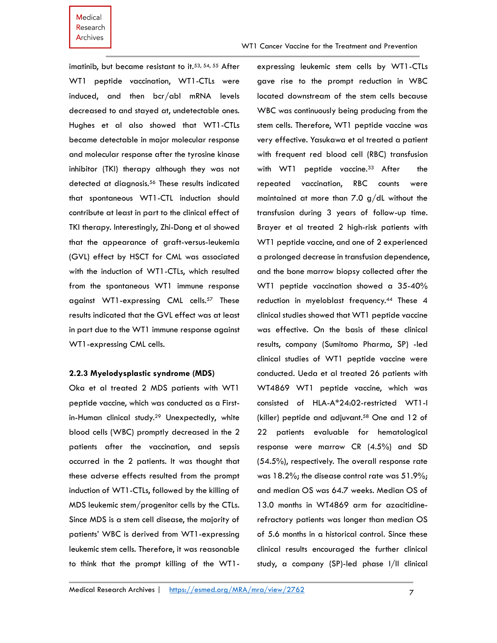WT1 Cancer Vaccine for the Treatment and Prevention

imatinib, but became resistant to it.<sup>53, 54, 55</sup> After WT1 peptide vaccination, WT1-CTLs were induced, and then bcr/abl mRNA levels decreased to and stayed at, undetectable ones. Hughes et al also showed that WT1-CTLs became detectable in major molecular response and molecular response after the tyrosine kinase inhibitor (TKI) therapy although they was not detected at diagnosis.<sup>56</sup> These results indicated that spontaneous WT1-CTL induction should contribute at least in part to the clinical effect of TKI therapy. Interestingly, Zhi-Dong et al showed that the appearance of graft-versus-leukemia (GVL) effect by HSCT for CML was associated with the induction of WT1-CTLs, which resulted from the spontaneous WT1 immune response against WT1-expressing CML cells.<sup>57</sup> These results indicated that the GVL effect was at least in part due to the WT1 immune response against WT1-expressing CML cells.

#### **2.2.3 Myelodysplastic syndrome (MDS)**

Oka et al treated 2 MDS patients with WT1 peptide vaccine, which was conducted as a Firstin-Human clinical study. <sup>29</sup> Unexpectedly, white blood cells (WBC) promptly decreased in the 2 patients after the vaccination, and sepsis occurred in the 2 patients. It was thought that these adverse effects resulted from the prompt induction of WT1-CTLs, followed by the killing of MDS leukemic stem/progenitor cells by the CTLs. Since MDS is a stem cell disease, the majority of patients' WBC is derived from WT1-expressing leukemic stem cells. Therefore, it was reasonable to think that the prompt killing of the WT1expressing leukemic stem cells by WT1-CTLs gave rise to the prompt reduction in WBC located downstream of the stem cells because WBC was continuously being producing from the stem cells. Therefore, WT1 peptide vaccine was very effective. Yasukawa et al treated a patient with frequent red blood cell (RBC) transfusion with WT1 peptide vaccine.<sup>33</sup> After the repeated vaccination, RBC counts were maintained at more than 7.0 g/dL without the transfusion during 3 years of follow-up time. Brayer et al treated 2 high-risk patients with WT1 peptide vaccine, and one of 2 experienced a prolonged decrease in transfusion dependence, and the bone marrow biopsy collected after the WT1 peptide vaccination showed a 35-40% reduction in myeloblast frequency.<sup>44</sup> These 4 clinical studies showed that WT1 peptide vaccine was effective. On the basis of these clinical results, company (Sumitomo Pharma, SP) -led clinical studies of WT1 peptide vaccine were conducted. Ueda et al treated 26 patients with WT4869 WT1 peptide vaccine, which was consisted of HLA-A\*24:02-restricted WT1-I (killer) peptide and adjuvant.<sup>58</sup> One and 12 of 22 patients evaluable for hematological response were marrow CR (4.5%) and SD (54.5%), respectively. The overall response rate was 18.2%; the disease control rate was 51.9%; and median OS was 64.7 weeks. Median OS of 13.0 months in WT4869 arm for azacitidinerefractory patients was longer than median OS of 5.6 months in a historical control. Since these clinical results encouraged the further clinical study, a company (SP)-led phase I/II clinical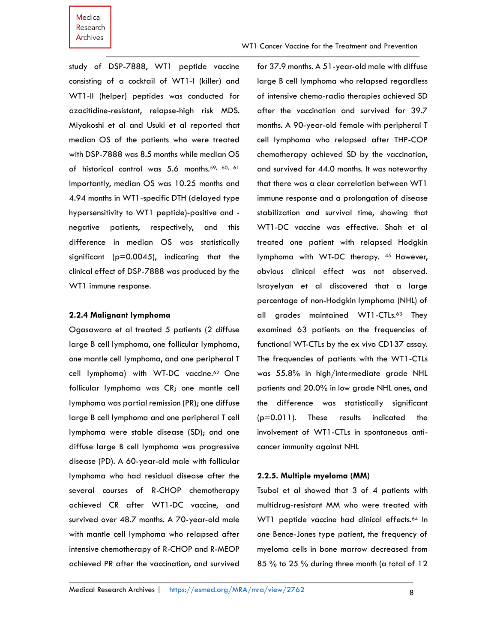WT1 Cancer Vaccine for the Treatment and Prevention

study of DSP-7888, WT1 peptide vaccine consisting of a cocktail of WT1-I (killer) and WT1-II (helper) peptides was conducted for azacitidine-resistant, relapse-high risk MDS. Miyakoshi et al and Usuki et al reported that median OS of the patients who were treated with DSP-7888 was 8.5 months while median OS of historical control was 5.6 months.<sup>59, 60, 61</sup> Importantly, median OS was 10.25 months and 4.94 months in WT1-specific DTH (delayed type hypersensitivity to WT1 peptide)-positive and negative patients, respectively, and this difference in median OS was statistically significant ( $p=0.0045$ ), indicating that the clinical effect of DSP-7888 was produced by the WT1 immune response.

#### **2.2.4 Malignant lymphoma**

Ogasawara et al treated 5 patients (2 diffuse large B cell lymphoma, one follicular lymphoma, one mantle cell lymphoma, and one peripheral T cell lymphoma) with WT-DC vaccine.<sup>62</sup> One follicular lymphoma was CR; one mantle cell lymphoma was partial remission (PR); one diffuse large B cell lymphoma and one peripheral T cell lymphoma were stable disease (SD); and one diffuse large B cell lymphoma was progressive disease (PD). A 60-year-old male with follicular lymphoma who had residual disease after the several courses of R-CHOP chemotherapy achieved CR after WT1-DC vaccine, and survived over 48.7 months. A 70-year-old male with mantle cell lymphoma who relapsed after intensive chemotherapy of R-CHOP and R-MEOP achieved PR after the vaccination, and survived

for 37.9 months. A 51-year-old male with diffuse large B cell lymphoma who relapsed regardless of intensive chemo-radio therapies achieved SD after the vaccination and survived for 39.7 months. A 90-year-old female with peripheral T cell lymphoma who relapsed after THP-COP chemotherapy achieved SD by the vaccination, and survived for 44.0 months. It was noteworthy that there was a clear correlation between WT1 immune response and a prolongation of disease stabilization and survival time, showing that WT1-DC vaccine was effective. Shah et al treated one patient with relapsed Hodgkin lymphoma with WT-DC therapy. <sup>45</sup> However, obvious clinical effect was not observed. Israyelyan et al discovered that a large percentage of non-Hodgkin lymphoma (NHL) of all grades maintained WT1-CTLs. <sup>63</sup> They examined 63 patients on the frequencies of functional WT-CTLs by the ex vivo CD137 assay. The frequencies of patients with the WT1-CTLs was 55.8% in high/intermediate grade NHL patients and 20.0% in low grade NHL ones, and the difference was statistically significant (p=0.011). These results indicated the involvement of WT1-CTLs in spontaneous anticancer immunity against NHL

### **2.2.5. Multiple myeloma (MM)**

Tsuboi et al showed that 3 of 4 patients with multidrug-resistant MM who were treated with WT1 peptide vaccine had clinical effects.<sup>64</sup> In one Bence-Jones type patient, the frequency of myeloma cells in bone marrow decreased from 85 % to 25 % during three month (a total of 12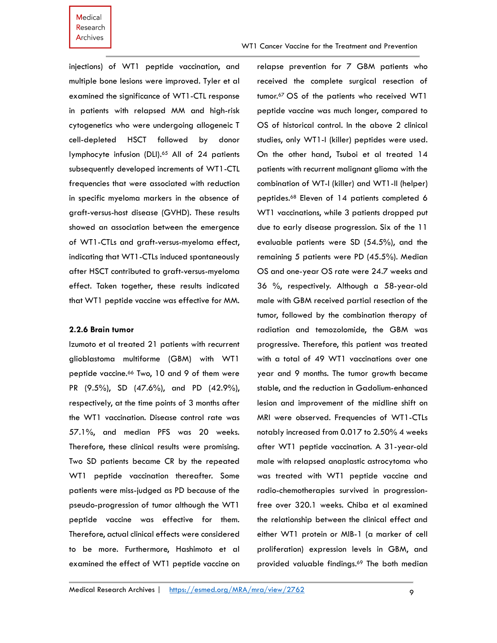injections) of WT1 peptide vaccination, and multiple bone lesions were improved. Tyler et al examined the significance of WT1-CTL response in patients with relapsed MM and high-risk cytogenetics who were undergoing allogeneic T cell-depleted HSCT followed by donor lymphocyte infusion (DLI). <sup>65</sup> All of 24 patients subsequently developed increments of WT1-CTL frequencies that were associated with reduction in specific myeloma markers in the absence of graft-versus-host disease (GVHD). These results showed an association between the emergence of WT1-CTLs and graft-versus-myeloma effect, indicating that WT1-CTLs induced spontaneously after HSCT contributed to graft-versus-myeloma effect. Taken together, these results indicated that WT1 peptide vaccine was effective for MM.

### **2.2.6 Brain tumor**

Izumoto et al treated 21 patients with recurrent glioblastoma multiforme (GBM) with WT1 peptide vaccine. <sup>66</sup> Two, 10 and 9 of them were PR (9.5%), SD (47.6%), and PD (42.9%), respectively, at the time points of 3 months after the WT1 vaccination. Disease control rate was 57.1%, and median PFS was 20 weeks. Therefore, these clinical results were promising. Two SD patients became CR by the repeated WT1 peptide vaccination thereafter. Some patients were miss-judged as PD because of the pseudo-progression of tumor although the WT1 peptide vaccine was effective for them. Therefore, actual clinical effects were considered to be more. Furthermore, Hashimoto et al examined the effect of WT1 peptide vaccine on

relapse prevention for 7 GBM patients who received the complete surgical resection of tumor.<sup>67</sup> OS of the patients who received WT1 peptide vaccine was much longer, compared to OS of historical control. In the above 2 clinical studies, only WT1-I (killer) peptides were used. On the other hand, Tsuboi et al treated 14 patients with recurrent malignant glioma with the combination of WT-I (killer) and WT1-II (helper) peptides. <sup>68</sup> Eleven of 14 patients completed 6 WT1 vaccinations, while 3 patients dropped put due to early disease progression. Six of the 11 evaluable patients were SD (54.5%), and the remaining 5 patients were PD (45.5%). Median OS and one-year OS rate were 24.7 weeks and 36 %, respectively. Although a 58-year-old male with GBM received partial resection of the tumor, followed by the combination therapy of radiation and temozolomide, the GBM was progressive. Therefore, this patient was treated with a total of 49 WT1 vaccinations over one year and 9 months. The tumor growth became stable, and the reduction in Gadolium-enhanced lesion and improvement of the midline shift on MRI were observed. Frequencies of WT1-CTLs notably increased from 0.017 to 2.50% 4 weeks after WT1 peptide vaccination. A 31-year-old male with relapsed anaplastic astrocytoma who was treated with WT1 peptide vaccine and radio-chemotherapies survived in progressionfree over 320.1 weeks. Chiba et al examined the relationship between the clinical effect and either WT1 protein or MIB-1 (a marker of cell proliferation) expression levels in GBM, and provided valuable findings. <sup>69</sup> The both median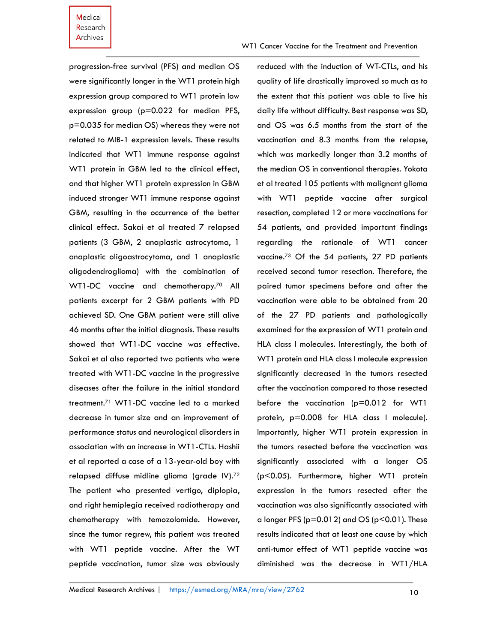WT1 Cancer Vaccine for the Treatment and Prevention

progression-free survival (PFS) and median OS were significantly longer in the WT1 protein high expression group compared to WT1 protein low expression group (p=0.022 for median PFS, p=0.035 for median OS) whereas they were not related to MIB-1 expression levels. These results indicated that WT1 immune response against WT1 protein in GBM led to the clinical effect, and that higher WT1 protein expression in GBM induced stronger WT1 immune response against GBM, resulting in the occurrence of the better clinical effect. Sakai et al treated 7 relapsed patients (3 GBM, 2 anaplastic astrocytoma, 1 anaplastic oligoastrocytoma, and 1 anaplastic oligodendroglioma) with the combination of WT1-DC vaccine and chemotherapy.<sup>70</sup> All patients excerpt for 2 GBM patients with PD achieved SD. One GBM patient were still alive 46 months after the initial diagnosis. These results showed that WT1-DC vaccine was effective. Sakai et al also reported two patients who were treated with WT1-DC vaccine in the progressive diseases after the failure in the initial standard treatment.<sup>71</sup> WT1-DC vaccine led to a marked decrease in tumor size and an improvement of performance status and neurological disorders in association with an increase in WT1-CTLs. Hashii et al reported a case of a 13-year-old boy with relapsed diffuse midline glioma (grade IV).<sup>72</sup> The patient who presented vertigo, diplopia, and right hemiplegia received radiotherapy and chemotherapy with temozolomide. However, since the tumor regrew, this patient was treated with WT1 peptide vaccine. After the WT peptide vaccination, tumor size was obviously reduced with the induction of WT-CTLs, and his quality of life drastically improved so much as to the extent that this patient was able to live his daily life without difficulty. Best response was SD, and OS was 6.5 months from the start of the vaccination and 8.3 months from the relapse, which was markedly longer than 3.2 months of the median OS in conventional therapies. Yokota et al treated 105 patients with malignant glioma with WT1 peptide vaccine after surgical resection, completed 12 or more vaccinations for 54 patients, and provided important findings regarding the rationale of WT1 cancer vaccine. <sup>73</sup> Of the 54 patients, 27 PD patients received second tumor resection. Therefore, the paired tumor specimens before and after the vaccination were able to be obtained from 20 of the 27 PD patients and pathologically examined for the expression of WT1 protein and HLA class I molecules. Interestingly, the both of WT1 protein and HLA class I molecule expression significantly decreased in the tumors resected after the vaccination compared to those resected before the vaccination (p=0.012 for WT1 protein, p=0.008 for HLA class I molecule). Importantly, higher WT1 protein expression in the tumors resected before the vaccination was significantly associated with a longer OS (p<0.05). Furthermore, higher WT1 protein expression in the tumors resected after the vaccination was also significantly associated with a longer PFS ( $p=0.012$ ) and OS ( $p<0.01$ ). These results indicated that at least one cause by which anti-tumor effect of WT1 peptide vaccine was diminished was the decrease in WT1/HLA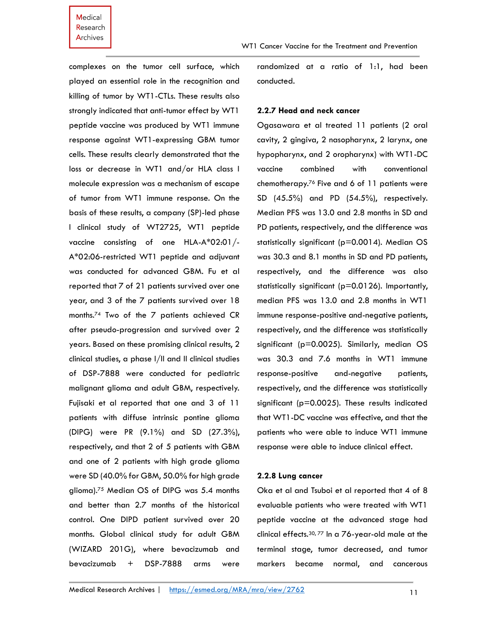WT1 Cancer Vaccine for the Treatment and Prevention

complexes on the tumor cell surface, which played an essential role in the recognition and killing of tumor by WT1-CTLs. These results also strongly indicated that anti-tumor effect by WT1 peptide vaccine was produced by WT1 immune response against WT1-expressing GBM tumor cells. These results clearly demonstrated that the loss or decrease in WT1 and/or HLA class I molecule expression was a mechanism of escape of tumor from WT1 immune response. On the basis of these results, a company (SP)-led phase I clinical study of WT2725, WT1 peptide vaccine consisting of one HLA-A\*02:01/- A\*02:06-restricted WT1 peptide and adjuvant was conducted for advanced GBM. Fu et al reported that 7 of 21 patients survived over one year, and 3 of the 7 patients survived over 18 months.<sup>74</sup> Two of the 7 patients achieved CR after pseudo-progression and survived over 2 years. Based on these promising clinical results, 2 clinical studies, a phase I/II and II clinical studies of DSP-7888 were conducted for pediatric malignant glioma and adult GBM, respectively. Fujisaki et al reported that one and 3 of 11 patients with diffuse intrinsic pontine glioma (DIPG) were PR (9.1%) and SD (27.3%), respectively, and that 2 of 5 patients with GBM and one of 2 patients with high grade glioma were SD (40.0% for GBM, 50.0% for high grade glioma). <sup>75</sup> Median OS of DIPG was 5.4 months and better than 2.7 months of the historical control. One DIPD patient survived over 20 months. Global clinical study for adult GBM (WIZARD 201G), where bevacizumab and bevacizumab + DSP-7888 arms were

randomized at a ratio of 1:1, had been conducted.

#### **2.2.7 Head and neck cancer**

Ogasawara et al treated 11 patients (2 oral cavity, 2 gingiva, 2 nasopharynx, 2 larynx, one hypopharynx, and 2 oropharynx) with WT1-DC vaccine combined with conventional chemotherapy. <sup>76</sup> Five and 6 of 11 patients were SD (45.5%) and PD (54.5%), respectively. Median PFS was 13.0 and 2.8 months in SD and PD patients, respectively, and the difference was statistically significant (p=0.0014). Median OS was 30.3 and 8.1 months in SD and PD patients, respectively, and the difference was also statistically significant (p=0.0126). Importantly, median PFS was 13.0 and 2.8 months in WT1 immune response-positive and-negative patients, respectively, and the difference was statistically significant (p=0.0025). Similarly, median OS was 30.3 and 7.6 months in WT1 immune response-positive and-negative patients, respectively, and the difference was statistically significant (p=0.0025). These results indicated that WT1-DC vaccine was effective, and that the patients who were able to induce WT1 immune response were able to induce clinical effect.

#### **2.2.8 Lung cancer**

Oka et al and Tsuboi et al reported that 4 of 8 evaluable patients who were treated with WT1 peptide vaccine at the advanced stage had clinical effects.30, 77 In a 76-year-old male at the terminal stage, tumor decreased, and tumor markers became normal, and cancerous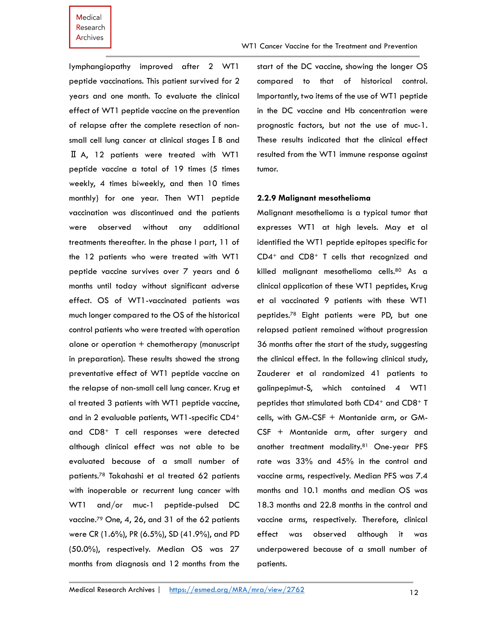lymphangiopathy improved after 2 WT1 peptide vaccinations. This patient survived for 2 years and one month. To evaluate the clinical effect of WT1 peptide vaccine on the prevention of relapse after the complete resection of nonsmall cell lung cancer at clinical stages I B and Ⅱ A, 12 patients were treated with WT1 peptide vaccine a total of 19 times (5 times weekly, 4 times biweekly, and then 10 times monthly) for one year. Then WT1 peptide vaccination was discontinued and the patients were observed without any additional treatments thereafter. In the phase I part, 11 of the 12 patients who were treated with WT1 peptide vaccine survives over 7 years and 6 months until today without significant adverse effect. OS of WT1-vaccinated patients was much longer compared to the OS of the historical control patients who were treated with operation alone or operation  $+$  chemotherapy (manuscript in preparation). These results showed the strong preventative effect of WT1 peptide vaccine on the relapse of non-small cell lung cancer. Krug et al treated 3 patients with WT1 peptide vaccine, and in 2 evaluable patients, WT1-specific CD4<sup>+</sup> and CD8<sup>+</sup> T cell responses were detected although clinical effect was not able to be evaluated because of a small number of patients.<sup>78</sup> Takahashi et al treated 62 patients with inoperable or recurrent lung cancer with WT1 and/or muc-1 peptide-pulsed DC vaccine.<sup>79</sup> One, 4, 26, and 31 of the 62 patients were CR (1.6%), PR (6.5%), SD (41.9%), and PD (50.0%), respectively. Median OS was 27 months from diagnosis and 12 months from the

start of the DC vaccine, showing the longer OS compared to that of historical control. Importantly, two items of the use of WT1 peptide in the DC vaccine and Hb concentration were prognostic factors, but not the use of muc-1. These results indicated that the clinical effect resulted from the WT1 immune response against tumor.

#### **2.2.9 Malignant mesothelioma**

Malignant mesothelioma is a typical tumor that expresses WT1 at high levels. May et al identified the WT1 peptide epitopes specific for CD4+ and CD8<sup>+</sup> T cells that recognized and killed malignant mesothelioma cells.<sup>80</sup> As a clinical application of these WT1 peptides, Krug et al vaccinated 9 patients with these WT1 peptides. <sup>78</sup> Eight patients were PD, but one relapsed patient remained without progression 36 months after the start of the study, suggesting the clinical effect. In the following clinical study, Zauderer et al randomized 41 patients to galinpepimut-S, which contained 4 WT1 peptides that stimulated both CD4<sup>+</sup> and CD8<sup>+</sup> T cells, with GM-CSF + Montanide arm, or GM-CSF + Montanide arm, after surgery and another treatment modality.<sup>81</sup> One-year PFS rate was 33% and 45% in the control and vaccine arms, respectively. Median PFS was 7.4 months and 10.1 months and median OS was 18.3 months and 22.8 months in the control and vaccine arms, respectively. Therefore, clinical effect was observed although it was underpowered because of a small number of patients.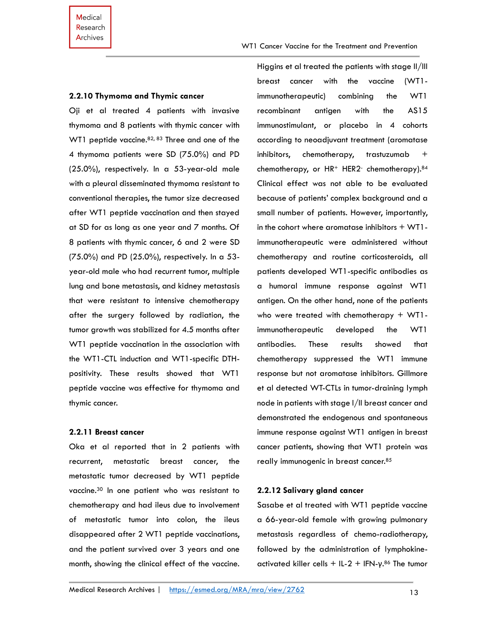#### **2.2.10 Thymoma and Thymic cancer**

Oji et al treated 4 patients with invasive thymoma and 8 patients with thymic cancer with WT1 peptide vaccine.<sup>82, 83</sup> Three and one of the 4 thymoma patients were SD (75.0%) and PD (25.0%), respectively. In a 53-year-old male with a pleural disseminated thymoma resistant to conventional therapies, the tumor size decreased after WT1 peptide vaccination and then stayed at SD for as long as one year and 7 months. Of 8 patients with thymic cancer, 6 and 2 were SD (75.0%) and PD (25.0%), respectively. In a 53 year-old male who had recurrent tumor, multiple lung and bone metastasis, and kidney metastasis that were resistant to intensive chemotherapy after the surgery followed by radiation, the tumor growth was stabilized for 4.5 months after WT1 peptide vaccination in the association with the WT1-CTL induction and WT1-specific DTHpositivity. These results showed that WT1 peptide vaccine was effective for thymoma and thymic cancer.

#### **2.2.11 Breast cancer**

Oka et al reported that in 2 patients with recurrent, metastatic breast cancer, the metastatic tumor decreased by WT1 peptide vaccine. <sup>30</sup> In one patient who was resistant to chemotherapy and had ileus due to involvement of metastatic tumor into colon, the ileus disappeared after 2 WT1 peptide vaccinations, and the patient survived over 3 years and one month, showing the clinical effect of the vaccine.

Higgins et al treated the patients with stage II/III breast cancer with the vaccine (WT1 immunotherapeutic) combining the WT1 recombinant antigen with the AS15 immunostimulant, or placebo in 4 cohorts according to neoadjuvant treatment (aromatase inhibitors, chemotherapy, trastuzumab + chemotherapy, or HR<sup>+</sup> HER2<sup>-</sup> chemotherapy).<sup>84</sup> Clinical effect was not able to be evaluated because of patients' complex background and a small number of patients. However, importantly, in the cohort where aromatase inhibitors + WT1 immunotherapeutic were administered without chemotherapy and routine corticosteroids, all patients developed WT1-specific antibodies as a humoral immune response against WT1 antigen. On the other hand, none of the patients who were treated with chemotherapy + WT1 immunotherapeutic developed the WT1 antibodies. These results showed that chemotherapy suppressed the WT1 immune response but not aromatase inhibitors. Gillmore et al detected WT-CTLs in tumor-draining lymph node in patients with stage I/II breast cancer and demonstrated the endogenous and spontaneous immune response against WT1 antigen in breast cancer patients, showing that WT1 protein was really immunogenic in breast cancer.<sup>85</sup>

# **2.2.12 Salivary gland cancer**

Sasabe et al treated with WT1 peptide vaccine a 66-year-old female with growing pulmonary metastasis regardless of chemo-radiotherapy, followed by the administration of lymphokineactivated killer cells + IL-2 + IFN- $\gamma$ .<sup>86</sup> The tumor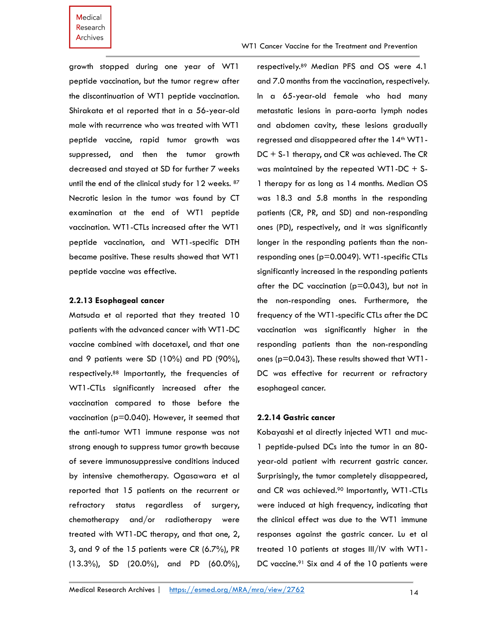WT1 Cancer Vaccine for the Treatment and Prevention

growth stopped during one year of WT1 peptide vaccination, but the tumor regrew after the discontinuation of WT1 peptide vaccination. Shirakata et al reported that in a 56-year-old male with recurrence who was treated with WT1 peptide vaccine, rapid tumor growth was suppressed, and then the tumor growth decreased and stayed at SD for further 7 weeks until the end of the clinical study for 12 weeks. 87 Necrotic lesion in the tumor was found by CT examination at the end of WT1 peptide vaccination. WT1-CTLs increased after the WT1 peptide vaccination, and WT1-specific DTH became positive. These results showed that WT1 peptide vaccine was effective.

### **2.2.13 Esophageal cancer**

Matsuda et al reported that they treated 10 patients with the advanced cancer with WT1-DC vaccine combined with docetaxel, and that one and 9 patients were SD (10%) and PD (90%), respectively.<sup>88</sup> Importantly, the frequencies of WT1-CTLs significantly increased after the vaccination compared to those before the vaccination (p=0.040). However, it seemed that the anti-tumor WT1 immune response was not strong enough to suppress tumor growth because of severe immunosuppressive conditions induced by intensive chemotherapy. Ogasawara et al reported that 15 patients on the recurrent or refractory status regardless of surgery, chemotherapy and/or radiotherapy were treated with WT1-DC therapy, and that one, 2, 3, and 9 of the 15 patients were CR (6.7%), PR (13.3%), SD (20.0%), and PD (60.0%),

respectively.<sup>89</sup> Median PFS and OS were 4.1 and 7.0 months from the vaccination, respectively. In a 65-year-old female who had many metastatic lesions in para-aorta lymph nodes and abdomen cavity, these lesions gradually regressed and disappeared after the 14<sup>th</sup> WT1-DC + S-1 therapy, and CR was achieved. The CR was maintained by the repeated WT1-DC + S-1 therapy for as long as 14 months. Median OS was 18.3 and 5.8 months in the responding patients (CR, PR, and SD) and non-responding ones (PD), respectively, and it was significantly longer in the responding patients than the nonresponding ones (p=0.0049). WT1-specific CTLs significantly increased in the responding patients after the DC vaccination (p=0.043), but not in the non-responding ones. Furthermore, the frequency of the WT1-specific CTLs after the DC vaccination was significantly higher in the responding patients than the non-responding ones (p=0.043). These results showed that WT1- DC was effective for recurrent or refractory esophageal cancer.

# **2.2.14 Gastric cancer**

Kobayashi et al directly injected WT1 and muc-1 peptide-pulsed DCs into the tumor in an 80 year-old patient with recurrent gastric cancer. Surprisingly, the tumor completely disappeared, and CR was achieved. <sup>90</sup> Importantly, WT1-CTLs were induced at high frequency, indicating that the clinical effect was due to the WT1 immune responses against the gastric cancer. Lu et al treated 10 patients at stages III/IV with WT1- DC vaccine.<sup>91</sup> Six and 4 of the 10 patients were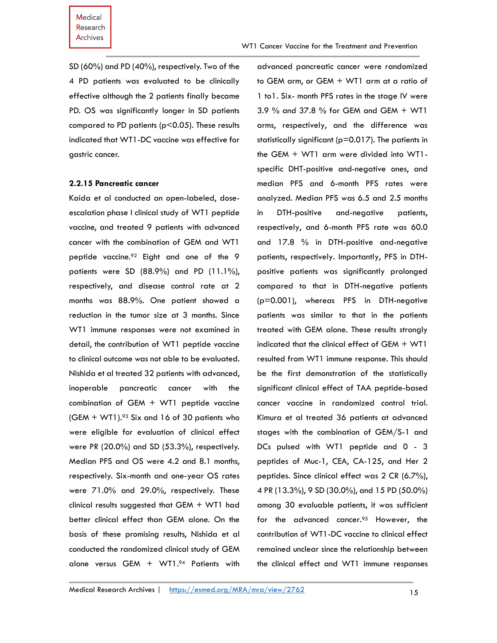WT1 Cancer Vaccine for the Treatment and Prevention

SD (60%) and PD (40%), respectively. Two of the 4 PD patients was evaluated to be clinically effective although the 2 patients finally became PD. OS was significantly longer in SD patients compared to PD patients (p<0.05). These results indicated that WT1-DC vaccine was effective for gastric cancer.

#### **2.2.15 Pancreatic cancer**

Kaida et al conducted an open-labeled, doseescalation phase I clinical study of WT1 peptide vaccine, and treated 9 patients with advanced cancer with the combination of GEM and WT1 peptide vaccine.<sup>92</sup> Eight and one of the 9 patients were SD (88.9%) and PD (11.1%), respectively, and disease control rate at 2 months was 88.9%. One patient showed a reduction in the tumor size at 3 months. Since WT1 immune responses were not examined in detail, the contribution of WT1 peptide vaccine to clinical outcome was not able to be evaluated. Nishida et al treated 32 patients with advanced, inoperable pancreatic cancer with the combination of GEM + WT1 peptide vaccine  $(GEM + WTI).<sup>93</sup>$  Six and 16 of 30 patients who were eligible for evaluation of clinical effect were PR (20.0%) and SD (53.3%), respectively. Median PFS and OS were 4.2 and 8.1 months, respectively. Six-month and one-year OS rates were 71.0% and 29.0%, respectively. These clinical results suggested that GEM + WT1 had better clinical effect than GEM alone. On the basis of these promising results, Nishida et al conducted the randomized clinical study of GEM alone versus GEM + WT1.94 Patients with

advanced pancreatic cancer were randomized to GEM arm, or GEM + WT1 arm at a ratio of 1 to1. Six- month PFS rates in the stage IV were 3.9 % and 37.8 % for GEM and GEM + WT1 arms, respectively, and the difference was statistically significant (p=0.017). The patients in the GEM + WT1 arm were divided into WT1 specific DHT-positive and-negative ones, and median PFS and 6-month PFS rates were analyzed. Median PFS was 6.5 and 2.5 months in DTH-positive and-negative patients, respectively, and 6-month PFS rate was 60.0 and 17.8 % in DTH-positive and-negative patients, respectively. Importantly, PFS in DTHpositive patients was significantly prolonged compared to that in DTH-negative patients (p=0.001), whereas PFS in DTH-negative patients was similar to that in the patients treated with GEM alone. These results strongly indicated that the clinical effect of GEM + WT1 resulted from WT1 immune response. This should be the first demonstration of the statistically significant clinical effect of TAA peptide-based cancer vaccine in randomized control trial. Kimura et al treated 36 patients at advanced stages with the combination of GEM/S-1 and DCs pulsed with WT1 peptide and 0 - 3 peptides of Muc-1, CEA, CA-125, and Her 2 peptides. Since clinical effect was 2 CR (6.7%), 4 PR (13.3%), 9 SD (30.0%), and 15 PD (50.0%) among 30 evaluable patients, it was sufficient for the advanced cancer.<sup>95</sup> However, the contribution of WT1-DC vaccine to clinical effect remained unclear since the relationship between the clinical effect and WT1 immune responses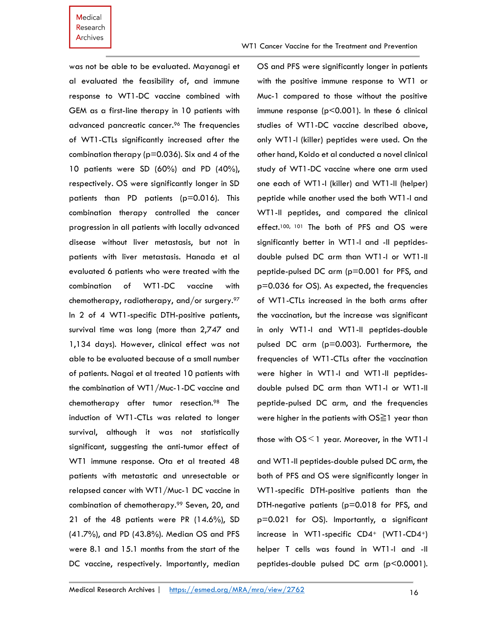was not be able to be evaluated. Mayanagi et al evaluated the feasibility of, and immune response to WT1-DC vaccine combined with GEM as a first-line therapy in 10 patients with advanced pancreatic cancer.<sup>96</sup> The frequencies of WT1-CTLs significantly increased after the combination therapy ( $p=0.036$ ). Six and 4 of the 10 patients were SD (60%) and PD (40%), respectively. OS were significantly longer in SD patients than PD patients (p=0.016). This combination therapy controlled the cancer progression in all patients with locally advanced disease without liver metastasis, but not in patients with liver metastasis. Hanada et al evaluated 6 patients who were treated with the combination of WT1-DC vaccine with chemotherapy, radiotherapy, and/or surgery.<sup>97</sup> In 2 of 4 WT1-specific DTH-positive patients, survival time was long (more than 2,747 and 1,134 days). However, clinical effect was not able to be evaluated because of a small number of patients. Nagai et al treated 10 patients with the combination of WT1/Muc-1-DC vaccine and chemotherapy after tumor resection. <sup>98</sup> The induction of WT1-CTLs was related to longer survival, although it was not statistically significant, suggesting the anti-tumor effect of WT1 immune response. Ota et al treated 48 patients with metastatic and unresectable or relapsed cancer with WT1/Muc-1 DC vaccine in combination of chemotherapy.<sup>99</sup> Seven, 20, and 21 of the 48 patients were PR (14.6%), SD (41.7%), and PD (43.8%). Median OS and PFS were 8.1 and 15.1 months from the start of the DC vaccine, respectively. Importantly, median

OS and PFS were significantly longer in patients with the positive immune response to WT1 or Muc-1 compared to those without the positive immune response (p<0.001). In these 6 clinical studies of WT1-DC vaccine described above, only WT1-I (killer) peptides were used. On the other hand, Koido et al conducted a novel clinical study of WT1-DC vaccine where one arm used one each of WT1-I (killer) and WT1-II (helper) peptide while another used the both WT1-I and WT1-II peptides, and compared the clinical effect.<sup>100, 101</sup> The both of PFS and OS were significantly better in WT1-I and -II peptidesdouble pulsed DC arm than WT1-I or WT1-II peptide-pulsed DC arm (p=0.001 for PFS, and p=0.036 for OS). As expected, the frequencies of WT1-CTLs increased in the both arms after the vaccination, but the increase was significant in only WT1-I and WT1-II peptides-double pulsed DC arm (p=0.003). Furthermore, the frequencies of WT1-CTLs after the vaccination were higher in WT1-I and WT1-II peptidesdouble pulsed DC arm than WT1-I or WT1-II peptide-pulsed DC arm, and the frequencies were higher in the patients with OS≧1 year than

those with  $OS \leq 1$  year. Moreover, in the WT1-I

and WT1-II peptides-double pulsed DC arm, the both of PFS and OS were significantly longer in WT1-specific DTH-positive patients than the DTH-negative patients (p=0.018 for PFS, and p=0.021 for OS). Importantly, a significant increase in WT1-specific CD4<sup>+</sup> (WT1-CD4+) helper T cells was found in WT1-I and -II peptides-double pulsed DC arm (p<0.0001).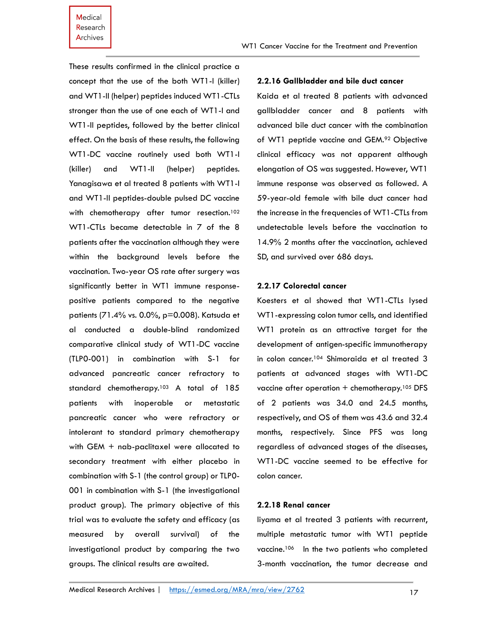These results confirmed in the clinical practice a concept that the use of the both WT1-I (killer) and WT1-II (helper) peptides induced WT1-CTLs stronger than the use of one each of WT1-I and WT1-II peptides, followed by the better clinical effect. On the basis of these results, the following WT1-DC vaccine routinely used both WT1-I (killer) and WT1-II (helper) peptides. Yanagisawa et al treated 8 patients with WT1-I and WT1-II peptides-double pulsed DC vaccine with chemotherapy after tumor resection.<sup>102</sup> WT1-CTLs became detectable in 7 of the 8 patients after the vaccination although they were within the background levels before the vaccination. Two-year OS rate after surgery was significantly better in WT1 immune responsepositive patients compared to the negative patients (71.4% vs. 0.0%, p=0.008). Katsuda et al conducted a double-blind randomized comparative clinical study of WT1-DC vaccine (TLP0-001) in combination with S-1 for advanced pancreatic cancer refractory to standard chemotherapy.<sup>103</sup> A total of 185 patients with inoperable or metastatic pancreatic cancer who were refractory or intolerant to standard primary chemotherapy with GEM + nab-paclitaxel were allocated to secondary treatment with either placebo in combination with S-1 (the control group) or TLP0- 001 in combination with S-1 (the investigational product group). The primary objective of this trial was to evaluate the safety and efficacy (as measured by overall survival) of the investigational product by comparing the two groups. The clinical results are awaited.

#### **2.2.16 Gallbladder and bile duct cancer**

Kaida et al treated 8 patients with advanced gallbladder cancer and 8 patients with advanced bile duct cancer with the combination of WT1 peptide vaccine and GEM.<sup>92</sup> Objective clinical efficacy was not apparent although elongation of OS was suggested. However, WT1 immune response was observed as followed. A 59-year-old female with bile duct cancer had the increase in the frequencies of WT1-CTLs from undetectable levels before the vaccination to 14.9% 2 months after the vaccination, achieved SD, and survived over 686 days.

### **2.2.17 Colorectal cancer**

Koesters et al showed that WT1-CTLs lysed WT1-expressing colon tumor cells, and identified WT1 protein as an attractive target for the development of antigen-specific immunotherapy in colon cancer.<sup>104</sup> Shimoraida et al treated 3 patients at advanced stages with WT1-DC vaccine after operation + chemotherapy.<sup>105</sup> DFS of 2 patients was 34.0 and 24.5 months, respectively, and OS of them was 43.6 and 32.4 months, respectively. Since PFS was long regardless of advanced stages of the diseases, WT1-DC vaccine seemed to be effective for colon cancer.

#### **2.2.18 Renal cancer**

Iiyama et al treated 3 patients with recurrent, multiple metastatic tumor with WT1 peptide vaccine.106 In the two patients who completed 3-month vaccination, the tumor decrease and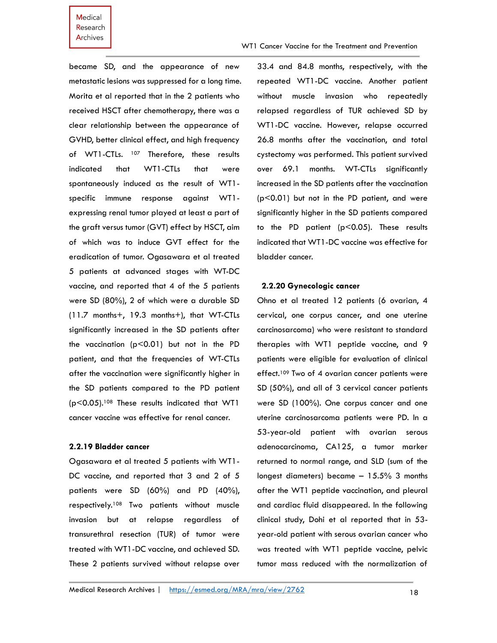became SD, and the appearance of new metastatic lesions was suppressed for a long time. Morita et al reported that in the 2 patients who received HSCT after chemotherapy, there was a clear relationship between the appearance of GVHD, better clinical effect, and high frequency of WT1-CTLs. <sup>107</sup> Therefore, these results indicated that WT1-CTLs that were spontaneously induced as the result of WT1 specific immune response against WT1 expressing renal tumor played at least a part of the graft versus tumor (GVT) effect by HSCT, aim of which was to induce GVT effect for the eradication of tumor. Ogasawara et al treated 5 patients at advanced stages with WT-DC vaccine, and reported that 4 of the 5 patients were SD (80%), 2 of which were a durable SD (11.7 months+, 19.3 months+), that WT-CTLs significantly increased in the SD patients after the vaccination  $(p<0.01)$  but not in the PD patient, and that the frequencies of WT-CTLs after the vaccination were significantly higher in the SD patients compared to the PD patient  $(p<0.05)$ .<sup>108</sup> These results indicated that WT1 cancer vaccine was effective for renal cancer.

# **2.2.19 Bladder cancer**

Ogasawara et al treated 5 patients with WT1- DC vaccine, and reported that 3 and 2 of 5 patients were SD (60%) and PD (40%), respectively.<sup>108</sup> Two patients without muscle invasion but at relapse regardless of transurethral resection (TUR) of tumor were treated with WT1-DC vaccine, and achieved SD. These 2 patients survived without relapse over

33.4 and 84.8 months, respectively, with the repeated WT1-DC vaccine. Another patient without muscle invasion who repeatedly relapsed regardless of TUR achieved SD by WT1-DC vaccine. However, relapse occurred 26.8 months after the vaccination, and total cystectomy was performed. This patient survived over 69.1 months. WT-CTLs significantly increased in the SD patients after the vaccination (p<0.01) but not in the PD patient, and were significantly higher in the SD patients compared to the PD patient (p<0.05). These results indicated that WT1-DC vaccine was effective for bladder cancer.

# **2.2.20 Gynecologic cancer**

Ohno et al treated 12 patients (6 ovarian, 4 cervical, one corpus cancer, and one uterine carcinosarcoma) who were resistant to standard therapies with WT1 peptide vaccine, and 9 patients were eligible for evaluation of clinical effect.<sup>109</sup> Two of 4 ovarian cancer patients were SD (50%), and all of 3 cervical cancer patients were SD (100%). One corpus cancer and one uterine carcinosarcoma patients were PD. In a 53-year-old patient with ovarian serous adenocarcinoma, CA125, a tumor marker returned to normal range, and SLD (sum of the longest diameters) became – 15.5% 3 months after the WT1 peptide vaccination, and pleural and cardiac fluid disappeared. In the following clinical study, Dohi et al reported that in 53 year-old patient with serous ovarian cancer who was treated with WT1 peptide vaccine, pelvic tumor mass reduced with the normalization of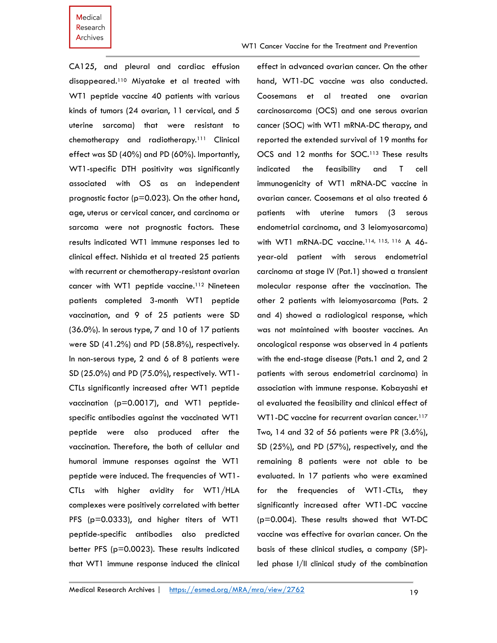WT1 Cancer Vaccine for the Treatment and Prevention

CA125, and pleural and cardiac effusion disappeared.<sup>110</sup> Miyatake et al treated with WT1 peptide vaccine 40 patients with various kinds of tumors (24 ovarian, 11 cervical, and 5 uterine sarcoma) that were resistant to chemotherapy and radiotherapy.<sup>111</sup> Clinical effect was SD (40%) and PD (60%). Importantly, WT1-specific DTH positivity was significantly associated with OS as an independent prognostic factor ( $p=0.023$ ). On the other hand, age, uterus or cervical cancer, and carcinoma or sarcoma were not prognostic factors. These results indicated WT1 immune responses led to clinical effect. Nishida et al treated 25 patients with recurrent or chemotherapy-resistant ovarian cancer with WT1 peptide vaccine.<sup>112</sup> Nineteen patients completed 3-month WT1 peptide vaccination, and 9 of 25 patients were SD (36.0%). In serous type, 7 and 10 of 17 patients were SD (41.2%) and PD (58.8%), respectively. In non-serous type, 2 and 6 of 8 patients were SD (25.0%) and PD (75.0%), respectively. WT1- CTLs significantly increased after WT1 peptide vaccination (p=0.0017), and WT1 peptidespecific antibodies against the vaccinated WT1 peptide were also produced after the vaccination. Therefore, the both of cellular and humoral immune responses against the WT1 peptide were induced. The frequencies of WT1- CTLs with higher avidity for WT1/HLA complexes were positively correlated with better PFS (p=0.0333), and higher titers of WT1 peptide-specific antibodies also predicted better PFS (p=0.0023). These results indicated that WT1 immune response induced the clinical

effect in advanced ovarian cancer. On the other hand, WT1-DC vaccine was also conducted. Coosemans et al treated one ovarian carcinosarcoma (OCS) and one serous ovarian cancer (SOC) with WT1 mRNA-DC therapy, and reported the extended survival of 19 months for OCS and 12 months for SOC.<sup>113</sup> These results indicated the feasibility and T cell immunogenicity of WT1 mRNA-DC vaccine in ovarian cancer. Coosemans et al also treated 6 patients with uterine tumors (3 serous endometrial carcinoma, and 3 leiomyosarcoma) with WT1 mRNA-DC vaccine.<sup>114, 115, 116</sup> A 46year-old patient with serous endometrial carcinoma at stage IV (Pat.1) showed a transient molecular response after the vaccination. The other 2 patients with leiomyosarcoma (Pats. 2 and 4) showed a radiological response, which was not maintained with booster vaccines. An oncological response was observed in 4 patients with the end-stage disease (Pats.1 and 2, and 2 patients with serous endometrial carcinoma) in association with immune response. Kobayashi et al evaluated the feasibility and clinical effect of WT1-DC vaccine for recurrent ovarian cancer.<sup>117</sup> Two, 14 and 32 of 56 patients were PR (3.6%), SD (25%), and PD (57%), respectively, and the remaining 8 patients were not able to be evaluated. In 17 patients who were examined for the frequencies of WT1-CTLs, they significantly increased after WT1-DC vaccine (p=0.004). These results showed that WT-DC vaccine was effective for ovarian cancer. On the basis of these clinical studies, a company (SP) led phase I/II clinical study of the combination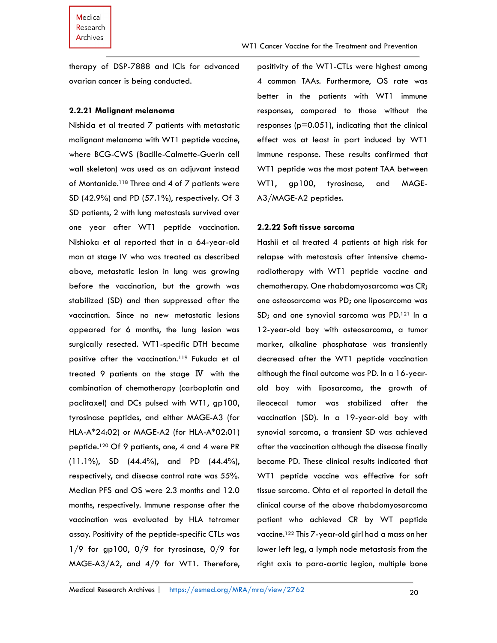therapy of DSP-7888 and ICIs for advanced ovarian cancer is being conducted.

#### **2.2.21 Malignant melanoma**

Nishida et al treated 7 patients with metastatic malignant melanoma with WT1 peptide vaccine, where BCG-CWS (Bacille-Calmette-Guerin cell wall skeleton) was used as an adjuvant instead of Montanide.<sup>118</sup> Three and 4 of 7 patients were SD (42.9%) and PD (57.1%), respectively. Of 3 SD patients, 2 with lung metastasis survived over one year after WT1 peptide vaccination. Nishioka et al reported that in a 64-year-old man at stage IV who was treated as described above, metastatic lesion in lung was growing before the vaccination, but the growth was stabilized (SD) and then suppressed after the vaccination. Since no new metastatic lesions appeared for 6 months, the lung lesion was surgically resected. WT1-specific DTH became positive after the vaccination.<sup>119</sup> Fukuda et al treated 9 patients on the stage  $\overline{N}$  with the combination of chemotherapy (carboplatin and paclitaxel) and DCs pulsed with WT1, gp100, tyrosinase peptides, and either MAGE-A3 (for HLA-A\*24:02) or MAGE-A2 (for HLA-A\*02:01) peptide. <sup>120</sup> Of 9 patients, one, 4 and 4 were PR (11.1%), SD (44.4%), and PD (44.4%), respectively, and disease control rate was 55%. Median PFS and OS were 2.3 months and 12.0 months, respectively. Immune response after the vaccination was evaluated by HLA tetramer assay. Positivity of the peptide-specific CTLs was 1/9 for gp100, 0/9 for tyrosinase, 0/9 for MAGE-A3/A2, and 4/9 for WT1. Therefore,

positivity of the WT1-CTLs were highest among 4 common TAAs. Furthermore, OS rate was better in the patients with WT1 immune responses, compared to those without the responses (p=0.051), indicating that the clinical effect was at least in part induced by WT1 immune response. These results confirmed that WT1 peptide was the most potent TAA between WT1, gp100, tyrosinase, and MAGE-A3/MAGE-A2 peptides.

# **2.2.22 Soft tissue sarcoma**

Hashii et al treated 4 patients at high risk for relapse with metastasis after intensive chemoradiotherapy with WT1 peptide vaccine and chemotherapy. One rhabdomyosarcoma was CR; one osteosarcoma was PD; one liposarcoma was SD; and one synovial sarcoma was PD.<sup>121</sup> In a 12-year-old boy with osteosarcoma, a tumor marker, alkaline phosphatase was transiently decreased after the WT1 peptide vaccination although the final outcome was PD. In a 16-yearold boy with liposarcoma, the growth of ileocecal tumor was stabilized after the vaccination (SD). In a 19-year-old boy with synovial sarcoma, a transient SD was achieved after the vaccination although the disease finally became PD. These clinical results indicated that WT1 peptide vaccine was effective for soft tissue sarcoma. Ohta et al reported in detail the clinical course of the above rhabdomyosarcoma patient who achieved CR by WT peptide vaccine.<sup>122</sup> This 7-year-old girl had a mass on her lower left leg, a lymph node metastasis from the right axis to para-aortic legion, multiple bone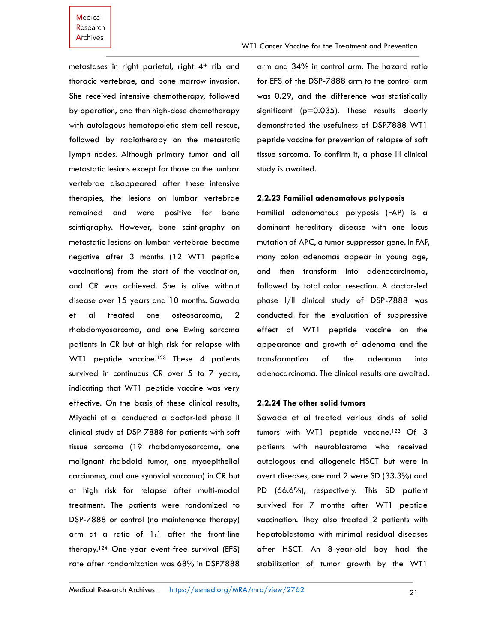metastases in right parietal, right  $4<sup>th</sup>$  rib and thoracic vertebrae, and bone marrow invasion. She received intensive chemotherapy, followed by operation, and then high-dose chemotherapy with autologous hematopoietic stem cell rescue, followed by radiotherapy on the metastatic lymph nodes. Although primary tumor and all metastatic lesions except for those on the lumbar vertebrae disappeared after these intensive therapies, the lesions on lumbar vertebrae remained and were positive for bone scintigraphy. However, bone scintigraphy on metastatic lesions on lumbar vertebrae became negative after 3 months (12 WT1 peptide vaccinations) from the start of the vaccination, and CR was achieved. She is alive without disease over 15 years and 10 months. Sawada et al treated one osteosarcoma, 2 rhabdomyosarcoma, and one Ewing sarcoma patients in CR but at high risk for relapse with WT1 peptide vaccine.<sup>123</sup> These 4 patients survived in continuous CR over 5 to 7 years, indicating that WT1 peptide vaccine was very effective. On the basis of these clinical results, Miyachi et al conducted a doctor-led phase II clinical study of DSP-7888 for patients with soft tissue sarcoma (19 rhabdomyosarcoma, one malignant rhabdoid tumor, one myoepithelial carcinoma, and one synovial sarcoma) in CR but at high risk for relapse after multi-modal treatment. The patients were randomized to DSP-7888 or control (no maintenance therapy) arm at a ratio of 1:1 after the front-line therapy.<sup>124</sup> One-year event-free survival (EFS) rate after randomization was 68% in DSP7888

arm and 34% in control arm. The hazard ratio for EFS of the DSP-7888 arm to the control arm was 0.29, and the difference was statistically significant (p=0.035). These results clearly demonstrated the usefulness of DSP7888 WT1 peptide vaccine for prevention of relapse of soft tissue sarcoma. To confirm it, a phase III clinical study is awaited.

#### **2.2.23 Familial adenomatous polyposis**

Familial adenomatous polyposis (FAP) is a dominant hereditary disease with one locus mutation of APC, a tumor-suppressor gene. In FAP, many colon adenomas appear in young age, and then transform into adenocarcinoma, followed by total colon resection. A doctor-led phase I/II clinical study of DSP-7888 was conducted for the evaluation of suppressive effect of WT1 peptide vaccine on the appearance and growth of adenoma and the transformation of the adenoma into adenocarcinoma. The clinical results are awaited.

#### **2.2.24 The other solid tumors**

Sawada et al treated various kinds of solid tumors with WT1 peptide vaccine.<sup>123</sup> Of 3 patients with neuroblastoma who received autologous and allogeneic HSCT but were in overt diseases, one and 2 were SD (33.3%) and PD (66.6%), respectively. This SD patient survived for 7 months after WT1 peptide vaccination. They also treated 2 patients with hepatoblastoma with minimal residual diseases after HSCT. An 8-year-old boy had the stabilization of tumor growth by the WT1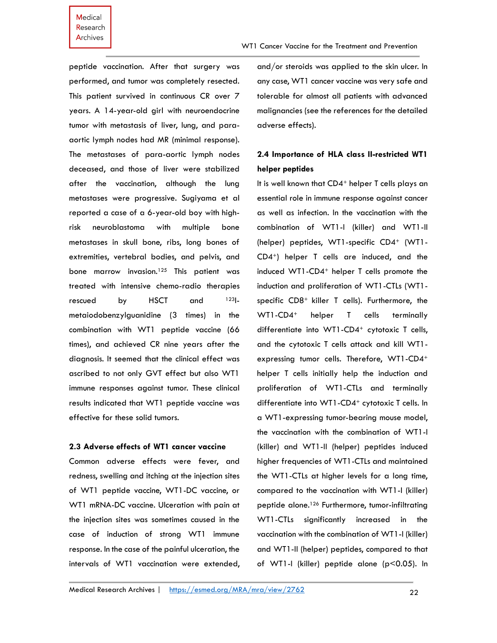# Medical Research **Archives**

peptide vaccination. After that surgery was performed, and tumor was completely resected. This patient survived in continuous CR over 7 years. A 14-year-old girl with neuroendocrine tumor with metastasis of liver, lung, and paraaortic lymph nodes had MR (minimal response). and/or steroids was applied to the skin ulcer. In any case, WT1 cancer vaccine was very safe and tolerable for almost all patients with advanced malignancies (see the references for the detailed adverse effects).

# **2.4 Importance of HLA class II-restricted WT1 helper peptides**

It is well known that CD4<sup>+</sup> helper T cells plays an essential role in immune response against cancer as well as infection. In the vaccination with the combination of WT1-I (killer) and WT1-II (helper) peptides, WT1-specific CD4+ (WT1-CD4+) helper T cells are induced, and the induced WT1-CD4<sup>+</sup> helper T cells promote the induction and proliferation of WT1-CTLs (WT1 specific CD8<sup>+</sup> killer T cells). Furthermore, the WT1-CD4<sup>+</sup> helper T cells terminally differentiate into WT1-CD4<sup>+</sup> cytotoxic T cells, and the cytotoxic T cells attack and kill WT1 expressing tumor cells. Therefore, WT1-CD4<sup>+</sup> helper T cells initially help the induction and proliferation of WT1-CTLs and terminally differentiate into WT1-CD4<sup>+</sup> cytotoxic T cells. In a WT1-expressing tumor-bearing mouse model, the vaccination with the combination of WT1-I (killer) and WT1-II (helper) peptides induced higher frequencies of WT1-CTLs and maintained the WT1-CTLs at higher levels for a long time, compared to the vaccination with WT1-I (killer) peptide alone. <sup>126</sup> Furthermore, tumor-infiltrating WT1-CTLs significantly increased in the vaccination with the combination of WT1-I (killer) and WT1-II (helper) peptides, compared to that of WT1-I (killer) peptide alone (p<0.05). In

# **2.3 Adverse effects of WT1 cancer vaccine** Common adverse effects were fever, and

effective for these solid tumors.

The metastases of para-aortic lymph nodes deceased, and those of liver were stabilized after the vaccination, although the lung metastases were progressive. Sugiyama et al reported a case of a 6-year-old boy with highrisk neuroblastoma with multiple bone metastases in skull bone, ribs, long bones of extremities, vertebral bodies, and pelvis, and bone marrow invasion.<sup>125</sup> This patient was treated with intensive chemo-radio therapies rescued by HSCT and 123Imetaiodobenzylguanidine (3 times) in the combination with WT1 peptide vaccine (66 times), and achieved CR nine years after the diagnosis. It seemed that the clinical effect was ascribed to not only GVT effect but also WT1 immune responses against tumor. These clinical results indicated that WT1 peptide vaccine was

redness, swelling and itching at the injection sites of WT1 peptide vaccine, WT1-DC vaccine, or WT1 mRNA-DC vaccine. Ulceration with pain at the injection sites was sometimes caused in the case of induction of strong WT1 immune response. In the case of the painful ulceration, the intervals of WT1 vaccination were extended,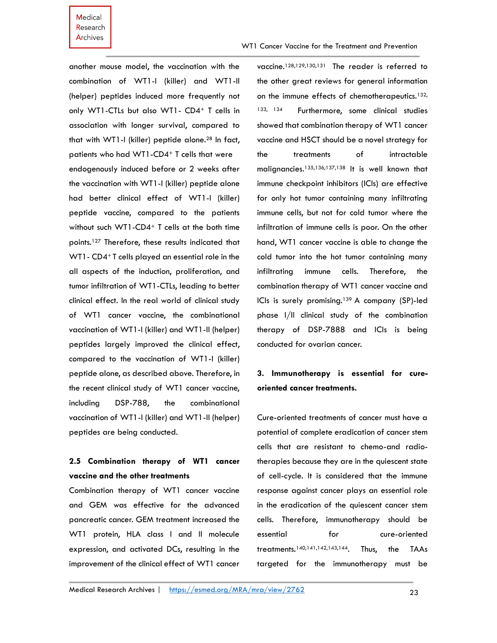another mouse model, the vaccination with the combination of WT1-I (killer) and WT1-II (helper) peptides induced more frequently not only WT1-CTLs but also WT1- CD4<sup>+</sup> T cells in association with longer survival, compared to that with WT1-I (killer) peptide alone.<sup>28</sup> In fact, patients who had WT1-CD4<sup>+</sup> T cells that were endogenously induced before or 2 weeks after the vaccination with WT1-I (killer) peptide alone had better clinical effect of WT1-I (killer) peptide vaccine, compared to the patients without such WT1-CD4<sup>+</sup> T cells at the both time points.<sup>127</sup> Therefore, these results indicated that WT1 - CD4<sup>+</sup> T cells played an essential role in the all aspects of the induction, proliferation, and tumor infiltration of WT1-CTLs, leading to better clinical effect. In the real world of clinical study of WT1 cancer vaccine, the combinational vaccination of WT1-I (killer) and WT1-II (helper) peptides largely improved the clinical effect, compared to the vaccination of WT1-I (killer) peptide alone, as described above. Therefore, in the recent clinical study of WT1 cancer vaccine, including DSP-788, the combinational vaccination of WT1-I (killer) and WT1-II (helper) peptides are being conducted.

# **2.5 Combination therapy of WT1 cancer vaccine and the other treatments**

Combination therapy of WT1 cancer vaccine and GEM was effective for the advanced pancreatic cancer. GEM treatment increased the WT1 protein, HLA class I and II molecule expression, and activated DCs, resulting in the improvement of the clinical effect of WT1 cancer

vaccine.128,129,130,131 The reader is referred to the other great reviews for general information on the immune effects of chemotherapeutics.132, 133, 134 Furthermore, some clinical studies showed that combination therapy of WT1 cancer vaccine and HSCT should be a novel strategy for the treatments of intractable malignancies.135,136,137,138 It is well known that immune checkpoint inhibitors (ICIs) are effective for only hot tumor containing many infiltrating immune cells, but not for cold tumor where the infiltration of immune cells is poor. On the other hand, WT1 cancer vaccine is able to change the cold tumor into the hot tumor containing many infiltrating immune cells. Therefore, the combination therapy of WT1 cancer vaccine and ICIs is surely promising.139 A company (SP)-led phase I/II clinical study of the combination therapy of DSP-7888 and ICIs is being conducted for ovarian cancer.

# **3. Immunotherapy is essential for cureoriented cancer treatments.**

Cure-oriented treatments of cancer must have a potential of complete eradication of cancer stem cells that are resistant to chemo-and radiotherapies because they are in the quiescent state of cell-cycle. It is considered that the immune response against cancer plays an essential role in the eradication of the quiescent cancer stem cells. Therefore, immunotherapy should be essential for cure-oriented treatments.140,141,142,143,144. Thus, the TAAs targeted for the immunotherapy must be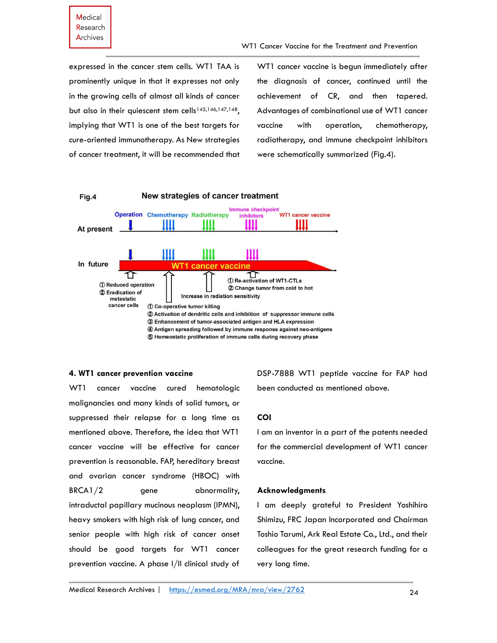expressed in the cancer stem cells. WT1 TAA is prominently unique in that it expresses not only in the growing cells of almost all kinds of cancer but also in their quiescent stem cells<sup>145,146,147,148</sup>, implying that WT1 is one of the best targets for cure-oriented immunotherapy. As New strategies of cancer treatment, it will be recommended that

WT1 cancer vaccine is begun immediately after the diagnosis of cancer, continued until the achievement of CR, and then tapered. Advantages of combinational use of WT1 cancer vaccine with operation, chemotherapy, radiotherapy, and immune checkpoint inhibitors were schematically summarized (Fig.4).



#### **4. WT1 cancer prevention vaccine**

WT1 cancer vaccine cured hematologic malignancies and many kinds of solid tumors, or suppressed their relapse for a long time as mentioned above. Therefore, the idea that WT1 cancer vaccine will be effective for cancer prevention is reasonable. FAP, hereditary breast and ovarian cancer syndrome (HBOC) with BRCA1/2 gene abnormality, intraductal papillary mucinous neoplasm (IPMN), heavy smokers with high risk of lung cancer, and senior people with high risk of cancer onset should be good targets for WT1 cancer prevention vaccine. A phase I/II clinical study of DSP-7888 WT1 peptide vaccine for FAP had been conducted as mentioned above.

# **COI**

I am an inventor in a part of the patents needed for the commercial development of WT1 cancer vaccine.

#### **Acknowledgments**

I am deeply grateful to President Yoshihiro Shimizu, FRC Japan Incorporated and Chairman Toshio Tarumi, Ark Real Estate Co., Ltd., and their colleagues for the great research funding for a very long time.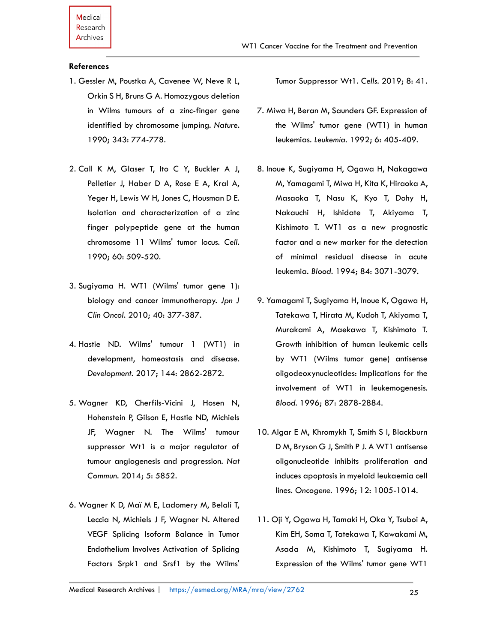### **References**

- 1. Gessler M, Poustka A, Cavenee W, Neve R L, Orkin S H, Bruns G A. Homozygous deletion in Wilms tumours of a zinc-finger gene identified by chromosome jumping. *Nature*. 1990; 343: 774-778.
- 2. Call K M, Glaser T, Ito C Y, Buckler A J, Pelletier J, Haber D A, Rose E A, Kral A, Yeger H, Lewis W H, Jones C, Housman D E. Isolation and characterization of a zinc finger polypeptide gene at the human chromosome 11 Wilms' tumor locus. *Cell.* 1990; 60: 509-520.
- 3. Sugiyama H. WT1 (Wilms' tumor gene 1): biology and cancer immunotherapy. *Jpn J Clin Oncol.* 2010; 40: 377-387.
- 4. Hastie ND. Wilms' tumour 1 (WT1) in development, homeostasis and disease. *Development.* 2017; 144: 2862-2872.
- 5. Wagner KD, Cherfils-Vicini J, Hosen N, Hohenstein P, Gilson E, Hastie ND, Michiels JF, Wagner N. The Wilms' tumour suppressor Wt1 is a major regulator of tumour angiogenesis and progression. *Nat Commun.* 2014; 5: 5852.
- 6. Wagner K D, Maï M E, Ladomery M, Belali T, Leccia N, Michiels J F, Wagner N. Altered VEGF Splicing Isoform Balance in Tumor Endothelium Involves Activation of Splicing Factors Srpk1 and Srsf1 by the Wilms'

Tumor Suppressor Wt1. *Cells.* 2019; 8: 41.

- 7. Miwa H, Beran M, Saunders GF. Expression of the Wilms' tumor gene (WT1) in human leukemias. *Leukemia.* 1992; 6: 405-409.
- 8. Inoue K, Sugiyama H, Ogawa H, Nakagawa M, Yamagami T, Miwa H, Kita K, Hiraoka A, Masaoka T, Nasu K, Kyo T, Dohy H, Nakauchi H, Ishidate T, Akiyama T, Kishimoto T. WT1 as a new prognostic factor and a new marker for the detection of minimal residual disease in acute leukemia. *Blood.* 1994; 84: 3071-3079.
- 9. Yamagami T, Sugiyama H, Inoue K, Ogawa H, Tatekawa T, Hirata M, Kudoh T, Akiyama T, Murakami A, Maekawa T, Kishimoto T. Growth inhibition of human leukemic cells by WT1 (Wilms tumor gene) antisense oligodeoxynucleotides: Implications for the involvement of WT1 in leukemogenesis. *Blood.* 1996; 87: 2878-2884.
- 10. Algar E M, Khromykh T, Smith S I, Blackburn D M, Bryson G J, Smith P J. A WT1 antisense oligonucleotide inhibits proliferation and induces apoptosis in myeloid leukaemia cell lines. *Oncogene.* 1996; 12: 1005-1014.
- 11. Oji Y, Ogawa H, Tamaki H, Oka Y, Tsuboi A, Kim EH, Soma T, Tatekawa T, Kawakami M, Asada M, Kishimoto T, Sugiyama H. Expression of the Wilms' tumor gene WT1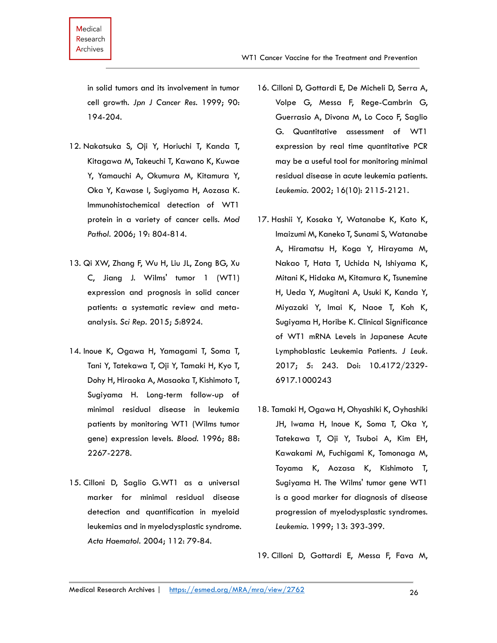in solid tumors and its involvement in tumor cell growth. *Jpn J Cancer Res.* 1999; 90: 194-204.

- 12. Nakatsuka S, Oji Y, Horiuchi T, Kanda T, Kitagawa M, Takeuchi T, Kawano K, Kuwae Y, Yamauchi A, Okumura M, Kitamura Y, Oka Y, Kawase I, Sugiyama H, Aozasa K. Immunohistochemical detection of WT1 protein in a variety of cancer cells. *Mod Pathol.* 2006; 19: 804-814.
- 13. Qi XW, Zhang F, Wu H, Liu JL, Zong BG, Xu C, Jiang J. Wilms' tumor 1 (WT1) expression and prognosis in solid cancer patients: a systematic review and metaanalysis. *Sci Rep.* 2015; 5:8924.
- 14. Inoue K, Ogawa H, Yamagami T, Soma T, Tani Y, Tatekawa T, Oji Y, Tamaki H, Kyo T, Dohy H, Hiraoka A, Masaoka T, Kishimoto T, Sugiyama H. Long-term follow-up of minimal residual disease in leukemia patients by monitoring WT1 (Wilms tumor gene) expression levels. *Blood.* 1996; 88: 2267-2278.
- 15. Cilloni D, Saglio G.WT1 as a universal marker for minimal residual disease detection and quantification in myeloid leukemias and in myelodysplastic syndrome. *Acta Haematol.* 2004; 112: 79-84.

WT1 Cancer Vaccine for the Treatment and Prevention

- Volpe G, Messa F, Rege-Cambrin G, Guerrasio A, Divona M, Lo Coco F, Saglio G. Quantitative assessment of WT1 expression by real time quantitative PCR may be a useful tool for monitoring minimal residual disease in acute leukemia patients. *Leukemia.* 2002; 16(10): 2115-2121.
- 17. Hashii Y, Kosaka Y, Watanabe K, Kato K, Imaizumi M, Kaneko T, Sunami S, Watanabe A, Hiramatsu H, Koga Y, Hirayama M, Nakao T, Hata T, Uchida N, Ishiyama K, Mitani K, Hidaka M, Kitamura K, Tsunemine H, Ueda Y, Mugitani A, Usuki K, Kanda Y, Miyazaki Y, Imai K, Naoe T, Koh K, Sugiyama H, Horibe K. Clinical Significance of WT1 mRNA Levels in Japanese Acute Lymphoblastic Leukemia Patients*. J Leuk.*  2017; 5: 243. Doi: 10.4172/2329- 6917.1000243
- 18. Tamaki H, Ogawa H, Ohyashiki K, Oyhashiki JH, Iwama H, Inoue K, Soma T, Oka Y, Tatekawa T, Oji Y, Tsuboi A, Kim EH, Kawakami M, Fuchigami K, Tomonaga M, Toyama K, Aozasa K, Kishimoto T, Sugiyama H. The Wilms' tumor gene WT1 is a good marker for diagnosis of disease progression of myelodysplastic syndromes. *Leukemia.* 1999; 13: 393-399.

19. Cilloni D, Gottardi E, Messa F, Fava M,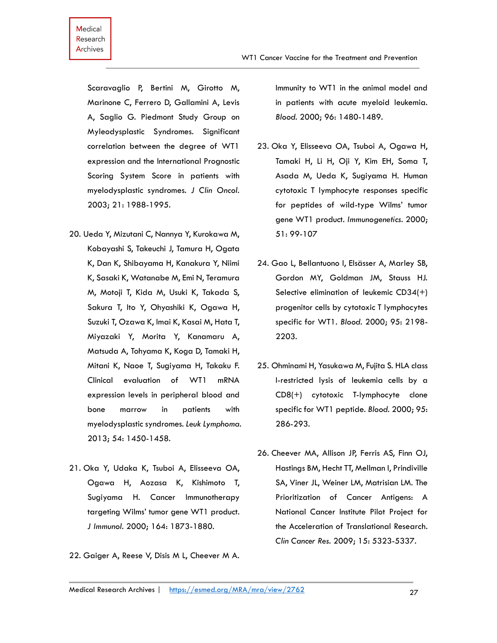Scaravaglio P, Bertini M, Girotto M, Marinone C, Ferrero D, Gallamini A, Levis A, Saglio G. Piedmont Study Group on Myleodysplastic Syndromes. Significant correlation between the degree of WT1 expression and the International Prognostic Scoring System Score in patients with myelodysplastic syndromes. *J Clin Oncol.*  2003; 21: 1988-1995.

- 20. Ueda Y, Mizutani C, Nannya Y, Kurokawa M, Kobayashi S, Takeuchi J, Tamura H, Ogata K, Dan K, Shibayama H, Kanakura Y, Niimi K, Sasaki K, Watanabe M, Emi N, Teramura M, Motoji T, Kida M, Usuki K, Takada S, Sakura T, Ito Y, Ohyashiki K, Ogawa H, Suzuki T, Ozawa K, Imai K, Kasai M, Hata T, Miyazaki Y, Morita Y, Kanamaru A, Matsuda A, Tohyama K, Koga D, Tamaki H, Mitani K, Naoe T, Sugiyama H, Takaku F. Clinical evaluation of WT1 mRNA expression levels in peripheral blood and bone marrow in patients with myelodysplastic syndromes. *Leuk Lymphoma.*  2013; 54: 1450-1458.
- 21. Oka Y, Udaka K, Tsuboi A, Elisseeva OA, Ogawa H, Aozasa K, Kishimoto T, Sugiyama H. Cancer Immunotherapy targeting Wilms' tumor gene WT1 product*. J Immunol.* 2000; 164: 1873-1880.
- 22. Gaiger A, Reese V, Disis M L, Cheever M A.

Immunity to WT1 in the animal model and in patients with acute myeloid leukemia. *Blood.* 2000; 96: 1480-1489.

- 23. Oka Y, Elisseeva OA, Tsuboi A, Ogawa H, Tamaki H, Li H, Oji Y, Kim EH, Soma T, Asada M, Ueda K, Sugiyama H. Human cytotoxic T lymphocyte responses specific for peptides of wild-type Wilms' tumor gene WT1 product. *Immunogenetics.* 2000; 51: 99-107
- 24. Gao L, Bellantuono I, Elsässer A, Marley SB, Gordon MY, Goldman JM, Stauss HJ. Selective elimination of leukemic CD34(+) progenitor cells by cytotoxic T lymphocytes specific for WT1. *Blood.* 2000; 95: 2198- 2203.
- 25. Ohminami H, Yasukawa M, Fujita S. HLA class I-restricted lysis of leukemia cells by a CD8(+) cytotoxic T-lymphocyte clone specific for WT1 peptide. *Blood.* 2000; 95: 286-293.
- 26. Cheever MA, Allison JP, Ferris AS, Finn OJ, Hastings BM, Hecht TT, Mellman I, Prindiville SA, Viner JL, Weiner LM, Matrisian LM. The Prioritization of Cancer Antigens: A National Cancer Institute Pilot Project for the Acceleration of Translational Research. *Clin Cancer Res.* 2009; 15: 5323-5337.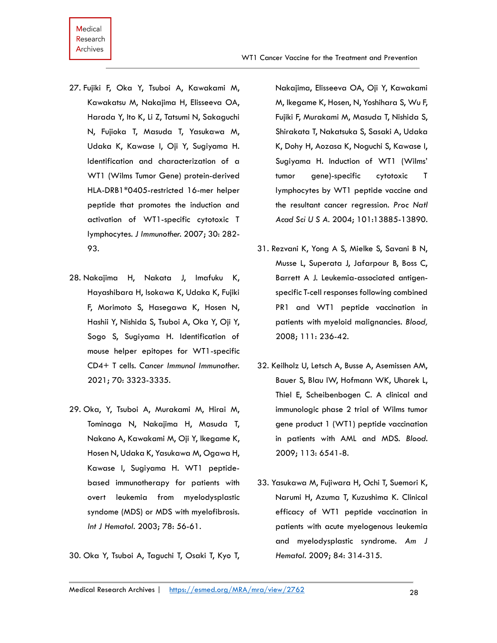- 27. Fujiki F, Oka Y, Tsuboi A, Kawakami M, Kawakatsu M, Nakajima H, Elisseeva OA, Harada Y, Ito K, Li Z, Tatsumi N, Sakaguchi N, Fujioka T, Masuda T, Yasukawa M, Udaka K, Kawase I, Oji Y, Sugiyama H. Identification and characterization of a WT1 (Wilms Tumor Gene) protein-derived HLA-DRB1\*0405-restricted 16-mer helper peptide that promotes the induction and activation of WT1-specific cytotoxic T lymphocytes. *J Immunother.* 2007; 30: 282- 93.
- 28. Nakajima H, Nakata J, Imafuku K, Hayashibara H, Isokawa K, Udaka K, Fujiki F, Morimoto S, Hasegawa K, Hosen N, Hashii Y, Nishida S, Tsuboi A, Oka Y, Oji Y, Sogo S, Sugiyama H. Identification of mouse helper epitopes for WT1-specific CD4+ T cells. *Cancer Immunol Immunother.*  2021; 70: 3323-3335.
- 29. Oka, Y, Tsuboi A, Murakami M, Hirai M, Tominaga N, Nakajima H, Masuda T, Nakano A, Kawakami M, Oji Y, Ikegame K, Hosen N, Udaka K, Yasukawa M, Ogawa H, Kawase I, Sugiyama H. WT1 peptidebased immunotherapy for patients with overt leukemia from myelodysplastic syndome (MDS) or MDS with myelofibrosis. *Int J Hematol.* 2003; 78: 56-61.

30. Oka Y, Tsuboi A, Taguchi T, Osaki T, Kyo T,

Nakajima, Elisseeva OA, Oji Y, Kawakami M, Ikegame K, Hosen, N, Yoshihara S, Wu F, Fujiki F, Murakami M, Masuda T, Nishida S, Shirakata T, Nakatsuka S, Sasaki A, Udaka K, Dohy H, Aozasa K, Noguchi S, Kawase I, Sugiyama H. Induction of WT1 (Wilms' tumor gene)-specific cytotoxic T lymphocytes by WT1 peptide vaccine and the resultant cancer regression. *Proc Natl Acad Sci U S A.* 2004; 101:13885-13890.

- 31. Rezvani K, Yong A S, Mielke S, Savani B N, Musse L, Superata J, Jafarpour B, Boss C, Barrett A J. Leukemia-associated antigenspecific T-cell responses following combined PR1 and WT1 peptide vaccination in patients with myeloid malignancies. *Blood,*  2008; 111: 236-42.
- 32. Keilholz U, Letsch A, Busse A, Asemissen AM, Bauer S, Blau IW, Hofmann WK, Uharek L, Thiel E, Scheibenbogen C. A clinical and immunologic phase 2 trial of Wilms tumor gene product 1 (WT1) peptide vaccination in patients with AML and MDS. *Blood.*  2009; 113: 6541-8.
- 33. Yasukawa M, Fujiwara H, Ochi T, Suemori K, Narumi H, Azuma T, Kuzushima K. Clinical efficacy of WT1 peptide vaccination in patients with acute myelogenous leukemia and myelodysplastic syndrome. *Am J Hematol.* 2009; 84: 314-315.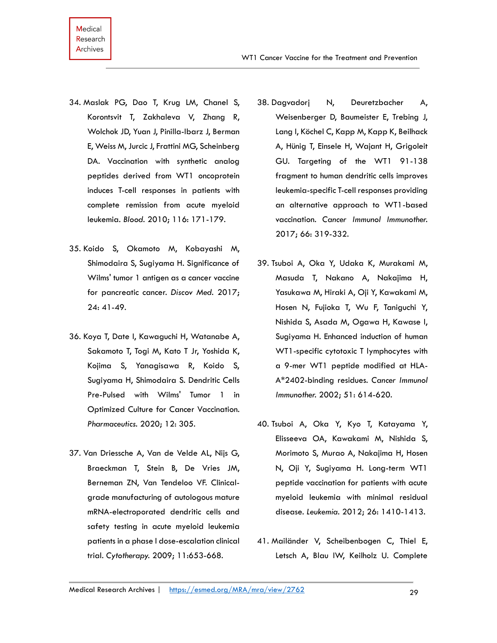- 34. Maslak PG, Dao T, Krug LM, Chanel S, Korontsvit T, Zakhaleva V, Zhang R, Wolchok JD, Yuan J, Pinilla-Ibarz J, Berman E, Weiss M, Jurcic J, Frattini MG, Scheinberg DA. Vaccination with synthetic analog peptides derived from WT1 oncoprotein induces T-cell responses in patients with complete remission from acute myeloid leukemia. *Blood.* 2010; 116: 171-179.
- 35. Koido S, Okamoto M, Kobayashi M, Shimodaira S, Sugiyama H. Significance of Wilms' tumor 1 antigen as a cancer vaccine for pancreatic cancer. *Discov Med.* 2017; 24: 41-49.
- 36. Koya T, Date I, Kawaguchi H, Watanabe A, Sakamoto T, Togi M, Kato T Jr, Yoshida K, Kojima S, Yanagisawa R, Koido S, Sugiyama H, Shimodaira S. Dendritic Cells Pre-Pulsed with Wilms' Tumor 1 in Optimized Culture for Cancer Vaccination. *Pharmaceutics.* 2020; 12: 305.
- 37. Van Driessche A, Van de Velde AL, Nijs G, Braeckman T, Stein B, De Vries JM, Berneman ZN, Van Tendeloo VF. Clinicalgrade manufacturing of autologous mature mRNA-electroporated dendritic cells and safety testing in acute myeloid leukemia patients in a phase I dose-escalation clinical trial. *Cytotherapy.* 2009; 11:653-668.
- 38. Dagvadorj N, Deuretzbacher A, Weisenberger D, Baumeister E, Trebing J, Lang I, Köchel C, Kapp M, Kapp K, Beilhack A, Hünig T, Einsele H, Wajant H, Grigoleit GU. Targeting of the WT1 91-138 fragment to human dendritic cells improves leukemia-specific T-cell responses providing an alternative approach to WT1-based vaccination. *Cancer Immunol Immunother.*  2017; 66: 319-332.
- 39. Tsuboi A, Oka Y, Udaka K, Murakami M, Masuda T, Nakano A, Nakajima H, Yasukawa M, Hiraki A, Oji Y, Kawakami M, Hosen N, Fujioka T, Wu F, Taniguchi Y, Nishida S, Asada M, Ogawa H, Kawase I, Sugiyama H. Enhanced induction of human WT1-specific cytotoxic T lymphocytes with a 9-mer WT1 peptide modified at HLA-A\*2402-binding residues. *Cancer Immunol Immunother.* 2002; 51: 614-620.
- 40. Tsuboi A, Oka Y, Kyo T, Katayama Y, Elisseeva OA, Kawakami M, Nishida S, Morimoto S, Murao A, Nakajima H, Hosen N, Oji Y, Sugiyama H. Long-term WT1 peptide vaccination for patients with acute myeloid leukemia with minimal residual disease. *Leukemia.* 2012; 26: 1410-1413.
- 41. Mailänder V, Scheibenbogen C, Thiel E, Letsch A, Blau IW, Keilholz U. Complete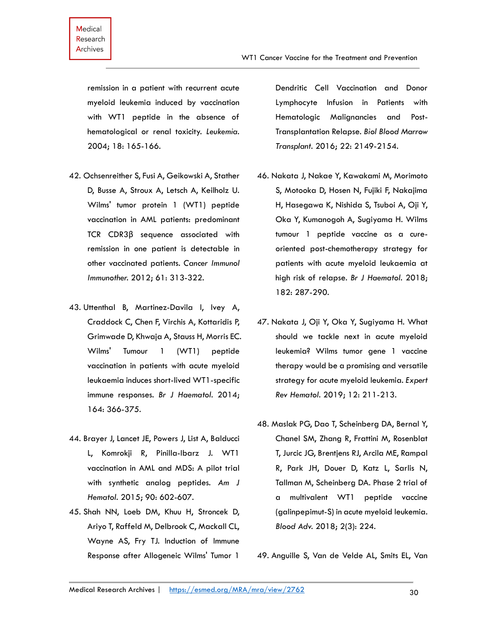remission in a patient with recurrent acute myeloid leukemia induced by vaccination with WT1 peptide in the absence of hematological or renal toxicity. *Leukemia.* 2004; 18: 165-166.

- 42. Ochsenreither S, Fusi A, Geikowski A, Stather D, Busse A, Stroux A, Letsch A, Keilholz U. Wilms' tumor protein 1 (WT1) peptide vaccination in AML patients: predominant TCR CDR3β sequence associated with remission in one patient is detectable in other vaccinated patients. *Cancer Immunol Immunother.* 2012; 61: 313-322.
- 43. Uttenthal B, Martinez-Davila I, Ivey A, Craddock C, Chen F, Virchis A, Kottaridis P, Grimwade D, Khwaja A, Stauss H, Morris EC. Wilms' Tumour 1 (WT1) peptide vaccination in patients with acute myeloid leukaemia induces short-lived WT1-specific immune responses. *Br J Haematol.* 2014; 164: 366-375.
- 44. Brayer J, Lancet JE, Powers J, List A, Balducci L, Komrokji R, Pinilla-Ibarz J. WT1 vaccination in AML and MDS: A pilot trial with synthetic analog peptides. *Am J Hematol.* 2015; 90: 602-607.
- 45. Shah NN, Loeb DM, Khuu H, Stroncek D, Ariyo T, Raffeld M, Delbrook C, Mackall CL, Wayne AS, Fry TJ. Induction of Immune Response after Allogeneic Wilms' Tumor 1

Dendritic Cell Vaccination and Donor Lymphocyte Infusion in Patients with Hematologic Malignancies and Post-Transplantation Relapse. *Biol Blood Marrow Transplant.* 2016; 22: 2149-2154.

- 46. Nakata J, Nakae Y, Kawakami M, Morimoto S, Motooka D, Hosen N, Fujiki F, Nakajima H, Hasegawa K, Nishida S, Tsuboi A, Oji Y, Oka Y, Kumanogoh A, Sugiyama H. Wilms tumour 1 peptide vaccine as a cureoriented post-chemotherapy strategy for patients with acute myeloid leukaemia at high risk of relapse. *Br J Haematol.* 2018; 182: 287-290.
- 47. Nakata J, Oji Y, Oka Y, Sugiyama H. What should we tackle next in acute myeloid leukemia? Wilms tumor gene 1 vaccine therapy would be a promising and versatile strategy for acute myeloid leukemia. *Expert Rev Hematol.* 2019; 12: 211-213.
- 48. Maslak PG, Dao T, Scheinberg DA, Bernal Y, Chanel SM, Zhang R, Frattini M, Rosenblat T, Jurcic JG, Brentjens RJ, Arcila ME, Rampal R, Park JH, Douer D, Katz L, Sarlis N, Tallman M, Scheinberg DA. Phase 2 trial of a multivalent WT1 peptide vaccine (galinpepimut-S) in acute myeloid leukemia. *Blood Adv.* 2018; 2(3): 224.

49. Anguille S, Van de Velde AL, Smits EL, Van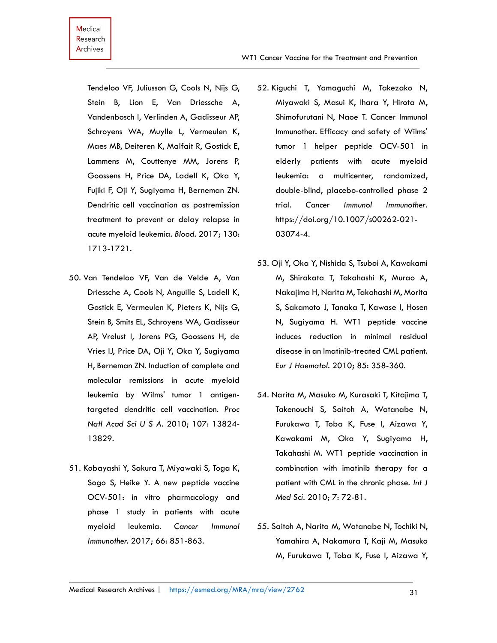Tendeloo VF, Juliusson G, Cools N, Nijs G, Stein B, Lion E, Van Driessche A, Vandenbosch I, Verlinden A, Gadisseur AP, Schroyens WA, Muylle L, Vermeulen K, Maes MB, Deiteren K, Malfait R, Gostick E, Lammens M, Couttenye MM, Jorens P, Goossens H, Price DA, Ladell K, Oka Y, Fujiki F, Oji Y, Sugiyama H, Berneman ZN. Dendritic cell vaccination as postremission treatment to prevent or delay relapse in acute myeloid leukemia. *Blood.* 2017; 130: 1713-1721.

- 50. Van Tendeloo VF, Van de Velde A, Van Driessche A, Cools N, Anguille S, Ladell K, Gostick E, Vermeulen K, Pieters K, Nijs G, Stein B, Smits EL, Schroyens WA, Gadisseur AP, Vrelust I, Jorens PG, Goossens H, de Vries IJ, Price DA, Oji Y, Oka Y, Sugiyama H, Berneman ZN. Induction of complete and molecular remissions in acute myeloid leukemia by Wilms' tumor 1 antigentargeted dendritic cell vaccination. *Proc Natl Acad Sci U S A.* 2010; 107: 13824- 13829.
- 51. Kobayashi Y, Sakura T, Miyawaki S, Toga K, Sogo S, Heike Y. A new peptide vaccine OCV-501: in vitro pharmacology and phase 1 study in patients with acute myeloid leukemia. *Cancer Immunol Immunother.* 2017; 66: 851-863.
- 52. Kiguchi T, Yamaguchi M, Takezako N, Miyawaki S, Masui K, Ihara Y, Hirota M, Shimofurutani N, Naoe T. Cancer Immunol Immunother. Efficacy and safety of Wilms' tumor 1 helper peptide OCV-501 in elderly patients with acute myeloid leukemia: a multicenter, randomized, double-blind, placebo-controlled phase 2 trial. *Cancer Immunol Immunother*. https://doi.org/10.1007/s00262-021- 03074-4.
- 53. Oji Y, Oka Y, Nishida S, Tsuboi A, Kawakami M, Shirakata T, Takahashi K, Murao A, Nakajima H, Narita M, Takahashi M, Morita S, Sakamoto J, Tanaka T, Kawase I, Hosen N, Sugiyama H. WT1 peptide vaccine induces reduction in minimal residual disease in an Imatinib-treated CML patient. *Eur J Haematol.* 2010; 85: 358-360.
- 54. Narita M, Masuko M, Kurasaki T, Kitajima T, Takenouchi S, Saitoh A, Watanabe N, Furukawa T, Toba K, Fuse I, Aizawa Y, Kawakami M, Oka Y, Sugiyama H, Takahashi M. WT1 peptide vaccination in combination with imatinib therapy for a patient with CML in the chronic phase. *Int J Med Sci.* 2010; 7: 72-81.
- 55. Saitoh A, Narita M, Watanabe N, Tochiki N, Yamahira A, Nakamura T, Kaji M, Masuko M, Furukawa T, Toba K, Fuse I, Aizawa Y,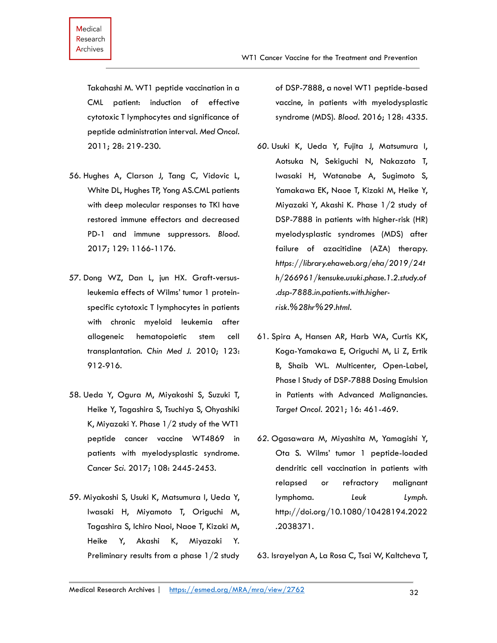Takahashi M. WT1 peptide vaccination in a CML patient: induction of effective cytotoxic T lymphocytes and significance of peptide administration interval. *Med Oncol.*  2011; 28: 219-230.

- 56. Hughes A, Clarson J, Tang C, Vidovic L, White DL, Hughes TP, Yong AS.CML patients with deep molecular responses to TKI have restored immune effectors and decreased PD-1 and immune suppressors. *Blood.* 2017; 129: 1166-1176.
- 57. Dong WZ, Dan L, jun HX. Graft-versusleukemia effects of Wilms' tumor 1 proteinspecific cytotoxic T lymphocytes in patients with chronic myeloid leukemia after allogeneic hematopoietic stem cell transplantation. *Chin Med J.* 2010; 123: 912-916.
- 58. Ueda Y, Ogura M, Miyakoshi S, Suzuki T, Heike Y, Tagashira S, Tsuchiya S, Ohyashiki K, Miyazaki Y. Phase 1/2 study of the WT1 peptide cancer vaccine WT4869 in patients with myelodysplastic syndrome. *Cancer Sci.* 2017; 108: 2445-2453.
- 59. Miyakoshi S, Usuki K, Matsumura I, Ueda Y, Iwasaki H, Miyamoto T, Origuchi M, Tagashira S, Ichiro Naoi, Naoe T, Kizaki M, Heike Y, Akashi K, Miyazaki Y. Preliminary results from a phase 1/2 study

of DSP-7888, a novel WT1 peptide-based vaccine, in patients with myelodysplastic syndrome (MDS). *Blood.* 2016; 128: 4335.

- *60.* Usuki K, Ueda Y, Fujita J, Matsumura I, Aotsuka N, Sekiguchi N, Nakazato T, Iwasaki H, Watanabe A, Sugimoto S, Yamakawa EK, Naoe T, Kizaki M, Heike Y, Miyazaki Y, Akashi K. Phase 1/2 study of DSP-7888 in patients with higher-risk (HR) myelodysplastic syndromes (MDS) after failure of azacitidine (AZA) therapy. *https://library.ehaweb.org/eha/2019/24t h/266961/kensuke.usuki.phase.1.2.study.of .dsp-7888.in.patients.with.higherrisk.%28hr%29.html.*
- 61. Spira A, Hansen AR, Harb WA, Curtis KK, Koga-Yamakawa E, Origuchi M, Li Z, Ertik B, Shaib WL. Multicenter, Open-Label, Phase I Study of DSP-7888 Dosing Emulsion in Patients with Advanced Malignancies. *Target Oncol.* 2021; 16: 461-469.
- *62.* Ogasawara M, Miyashita M, Yamagishi Y, Ota S. Wilms' tumor 1 peptide-loaded dendritic cell vaccination in patients with relapsed or refractory malignant lymphoma. *Leuk Lymph.* http://doi.org/10.1080/10428194.2022 .2038371.
- 63. Israyelyan A, La Rosa C, Tsai W, Kaltcheva T,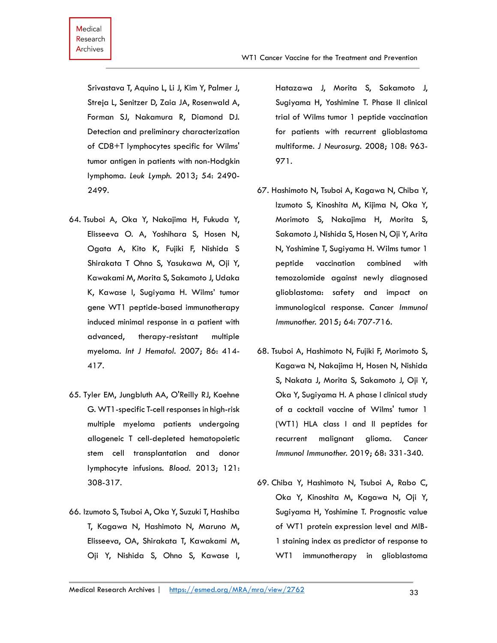Srivastava T, Aquino L, Li J, Kim Y, Palmer J, Streja L, Senitzer D, Zaia JA, Rosenwald A, Forman SJ, Nakamura R, Diamond DJ. Detection and preliminary characterization of CD8+T lymphocytes specific for Wilms' tumor antigen in patients with non-Hodgkin lymphoma. *Leuk Lymph.* 2013; 54: 2490- 2499.

- 64. Tsuboi A, Oka Y, Nakajima H, Fukuda Y, Elisseeva O. A, Yoshihara S, Hosen N, Ogata A, Kito K, Fujiki F, Nishida S Shirakata T Ohno S, Yasukawa M, Oji Y, Kawakami M, Morita S, Sakamoto J, Udaka K, Kawase I, Sugiyama H. Wilms' tumor gene WT1 peptide-based immunotherapy induced minimal response in a patient with advanced, therapy-resistant multiple myeloma. *Int J Hematol.* 2007; 86: 414- 417.
- 65. Tyler EM, Jungbluth AA, O'Reilly RJ, Koehne G. WT1-specific T-cell responses in high-risk multiple myeloma patients undergoing allogeneic T cell-depleted hematopoietic stem cell transplantation and donor lymphocyte infusions. *Blood.* 2013; 121: 308-317.
- 66. Izumoto S, Tsuboi A, Oka Y, Suzuki T, Hashiba T, Kagawa N, Hashimoto N, Maruno M, Elisseeva, OA, Shirakata T, Kawakami M, Oji Y, Nishida S, Ohno S, Kawase I,

Hatazawa J, Morita S, Sakamoto J, Sugiyama H, Yoshimine T. Phase II clinical trial of Wilms tumor 1 peptide vaccination for patients with recurrent glioblastoma multiforme. *J Neurosurg.* 2008; 108: 963- 971.

- 67. Hashimoto N, Tsuboi A, Kagawa N, Chiba Y, Izumoto S, Kinoshita M, Kijima N, Oka Y, Morimoto S, Nakajima H, Morita S, Sakamoto J, Nishida S, Hosen N, Oji Y, Arita N, Yoshimine T, Sugiyama H. Wilms tumor 1 peptide vaccination combined with temozolomide against newly diagnosed glioblastoma: safety and impact on immunological response. *Cancer Immunol Immunother.* 2015; 64: 707-716.
- 68. Tsuboi A, Hashimoto N, Fujiki F, Morimoto S, Kagawa N, Nakajima H, Hosen N, Nishida S, Nakata J, Morita S, Sakamoto J, Oji Y, Oka Y, Sugiyama H. A phase I clinical study of a cocktail vaccine of Wilms' tumor 1 (WT1) HLA class I and II peptides for recurrent malignant glioma. *Cancer Immunol Immunother.* 2019; 68: 331-340.
- 69. Chiba Y, Hashimoto N, Tsuboi A, Rabo C, Oka Y, Kinoshita M, Kagawa N, Oji Y, Sugiyama H, Yoshimine T. Prognostic value of WT1 protein expression level and MIB-1 staining index as predictor of response to WT1 immunotherapy in glioblastoma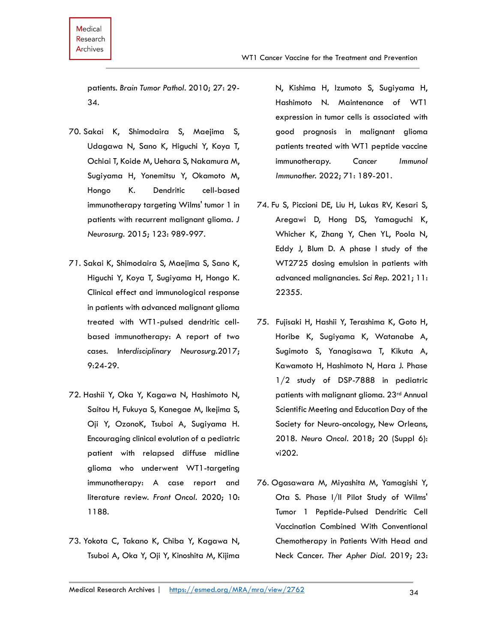patients. *Brain Tumor Pathol.* 2010; 27: 29- 34.

- 70. Sakai K, Shimodaira S, Maejima S, Udagawa N, Sano K, Higuchi Y, Koya T, Ochiai T, Koide M, Uehara S, Nakamura M, Sugiyama H, Yonemitsu Y, Okamoto M, Hongo K. Dendritic cell-based immunotherapy targeting Wilms' tumor 1 in patients with recurrent malignant glioma. *J Neurosurg.* 2015; 123: 989-997.
- *71.* Sakai K, Shimodaira S, Maejima S, Sano K, Higuchi Y, Koya T, Sugiyama H, Hongo K. Clinical effect and immunological response in patients with advanced malignant glioma treated with WT1-pulsed dendritic cellbased immunotherapy: A report of two cases. In*terdisciplinary Neurosurg.*2017; 9:24-29.
- 72. Hashii Y, Oka Y, Kagawa N, Hashimoto N, Saitou H, Fukuya S, Kanegae M, Ikejima S, Oji Y, OzonoK, Tsuboi A, Sugiyama H. Encouraging clinical evolution of a pediatric patient with relapsed diffuse midline glioma who underwent WT1-targeting immunotherapy: A case report and literature review. *Front Oncol.* 2020; 10: 1188.
- 73. Yokota C, Takano K, Chiba Y, Kagawa N, Tsuboi A, Oka Y, Oji Y, Kinoshita M, Kijima

N, Kishima H, Izumoto S, Sugiyama H, Hashimoto N. Maintenance of WT1 expression in tumor cells is associated with good prognosis in malignant glioma patients treated with WT1 peptide vaccine immunotherapy. *Cancer Immunol Immunother.* 2022; 71: 189-201.

- 74. Fu S, Piccioni DE, Liu H, Lukas RV, Kesari S, Aregawi D, Hong DS, Yamaguchi K, Whicher K, Zhang Y, Chen YL, Poola N, Eddy J, Blum D. A phase I study of the WT2725 dosing emulsion in patients with advanced malignancies. *Sci Rep.* 2021; 11: 22355.
- 75. Fujisaki H, Hashii Y, Terashima K, Goto H, Horibe K, Sugiyama K, Watanabe A, Sugimoto S, Yanagisawa T, Kikuta A, Kawamoto H, Hashimoto N, Hara J. Phase 1/2 study of DSP-7888 in pediatric patients with malignant glioma. 23rd Annual Scientific Meeting and Education Day of the Society for Neuro-oncology, New Orleans, 2018. *Neuro Oncol.* 2018; 20 (Suppl 6): vi202.
- 76. Ogasawara M, Miyashita M, Yamagishi Y, Ota S. Phase I/II Pilot Study of Wilms' Tumor 1 Peptide-Pulsed Dendritic Cell Vaccination Combined With Conventional Chemotherapy in Patients With Head and Neck Cancer. *Ther Apher Dial.* 2019; 23: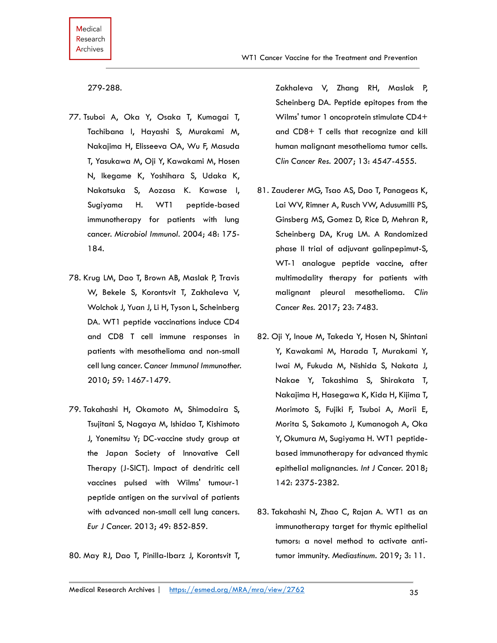279-288.

- 77. Tsuboi A, Oka Y, Osaka T, Kumagai T, Tachibana I, Hayashi S, Murakami M, Nakajima H, Elisseeva OA, Wu F, Masuda T, Yasukawa M, Oji Y, Kawakami M, Hosen N, Ikegame K, Yoshihara S, Udaka K, Nakatsuka S, Aozasa K. Kawase I, Sugiyama H. WT1 peptide-based immunotherapy for patients with lung cancer. *Microbiol Immunol.* 2004; 48: 175- 184.
- 78. Krug LM, Dao T, Brown AB, Maslak P, Travis W, Bekele S, Korontsvit T, Zakhaleva V, Wolchok J, Yuan J, Li H, Tyson L, Scheinberg DA. WT1 peptide vaccinations induce CD4 and CD8 T cell immune responses in patients with mesothelioma and non-small cell lung cancer. *Cancer Immunol Immunother.*  2010; 59: 1467-1479.
- 79. Takahashi H, Okamoto M, Shimodaira S, Tsujitani S, Nagaya M, Ishidao T, Kishimoto J, Yonemitsu Y; DC-vaccine study group at the Japan Society of Innovative Cell Therapy (J-SICT). Impact of dendritic cell vaccines pulsed with Wilms' tumour-1 peptide antigen on the survival of patients with advanced non-small cell lung cancers. *Eur J Cancer.* 2013; 49: 852-859.

80. May RJ, Dao T, Pinilla-Ibarz J, Korontsvit T,

Zakhaleva V, Zhang RH, Maslak P, Scheinberg DA. Peptide epitopes from the Wilms' tumor 1 oncoprotein stimulate CD4+ and CD8+ T cells that recognize and kill human malignant mesothelioma tumor cells. *Clin Cancer Res.* 2007; 13: 4547-4555.

- 81. Zauderer MG, Tsao AS, Dao T, Panageas K, Lai WV, Rimner A, Rusch VW, Adusumilli PS, Ginsberg MS, Gomez D, Rice D, Mehran R, Scheinberg DA, Krug LM. A Randomized phase II trial of adjuvant galinpepimut-S, WT-1 analogue peptide vaccine, after multimodality therapy for patients with malignant pleural mesothelioma. *Clin Cancer Res.* 2017; 23: 7483.
- 82. Oji Y, Inoue M, Takeda Y, Hosen N, Shintani Y, Kawakami M, Harada T, Murakami Y, Iwai M, Fukuda M, Nishida S, Nakata J, Nakae Y, Takashima S, Shirakata T, Nakajima H, Hasegawa K, Kida H, Kijima T, Morimoto S, Fujiki F, Tsuboi A, Morii E, Morita S, Sakamoto J, Kumanogoh A, Oka Y, Okumura M, Sugiyama H. WT1 peptidebased immunotherapy for advanced thymic epithelial malignancies. *Int J Cancer.* 2018; 142: 2375-2382.
- 83. Takahashi N, Zhao C, Rajan A. WT1 as an immunotherapy target for thymic epithelial tumors: a novel method to activate antitumor immunity. *Mediastinum.* 2019; 3: 11.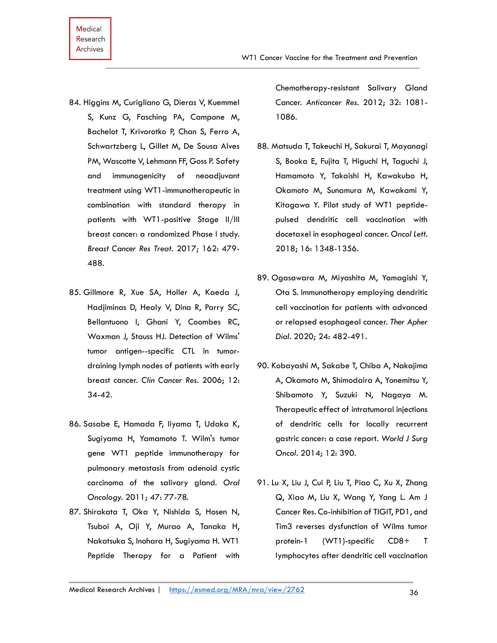- 84. Higgins M, Curigliano G, Dieras V, Kuemmel S, Kunz G, Fasching PA, Campone M, Bachelot T, Krivorotko P, Chan S, Ferro A, Schwartzberg L, Gillet M, De Sousa Alves PM, Wascotte V, Lehmann FF, Goss P. Safety and immunogenicity of neoadjuvant treatment using WT1-immunotherapeutic in combination with standard therapy in patients with WT1-positive Stage II/III breast cancer: a randomized Phase I study. *Breast Cancer Res Treat.* 2017; 162: 479- 488.
- 85. Gillmore R, Xue SA, Holler A, Kaeda J, Hadjiminas D, Healy V, Dina R, Parry SC, Bellantuono I, Ghani Y, Coombes RC, Waxman J, Stauss HJ. Detection of Wilms' tumor antigen--specific CTL in tumordraining lymph nodes of patients with early breast cancer. *Clin Cancer Res.* 2006; 12: 34-42.
- 86. Sasabe E, Hamada F, Iiyama T, Udaka K, Sugiyama H, Yamamoto T. Wilm's tumor gene WT1 peptide immunotherapy for pulmonary metastasis from adenoid cystic carcinoma of the salivary gland. *Oral Oncology.* 2011; 47: 77-78.
- 87. Shirakata T, Oka Y, Nishida S, Hosen N, Tsuboi A, Oji Y, Murao A, Tanaka H, Nakatsuka S, Inohara H, Sugiyama H. WT1 Peptide Therapy for a Patient with

Chemotherapy-resistant Salivary Gland Cancer. *Anticancer Res.* 2012; 32: 1081- 1086.

- 88. Matsuda T, Takeuchi H, Sakurai T, Mayanagi S, Booka E, Fujita T, Higuchi H, Taguchi J, Hamamoto Y, Takaishi H, Kawakubo H, Okamoto M, Sunamura M, Kawakami Y, Kitagawa Y. Pilot study of WT1 peptidepulsed dendritic cell vaccination with docetaxel in esophageal cancer. *Oncol Lett.*  2018; 16: 1348-1356.
- 89. Ogasawara M, Miyashita M, Yamagishi Y, Ota S. Immunotherapy employing dendritic cell vaccination for patients with advanced or relapsed esophageal cancer. *Ther Apher Dial.* 2020; 24: 482-491.
- 90. Kobayashi M, Sakabe T, Chiba A, Nakajima A, Okamoto M, Shimodaira A, Yonemitsu Y, Shibamoto Y, Suzuki N, Nagaya M. Therapeutic effect of intratumoral injections of dendritic cells for locally recurrent gastric cancer: a case report. *World J Surg Oncol.* 2014; 12: 390.
- 91. Lu X, Liu J, Cui P, Liu T, Piao C, Xu X, Zhang Q, Xiao M, Liu X, Wang Y, Yang L. Am J Cancer Res. Co-inhibition of TIGIT, PD1, and Tim3 reverses dysfunction of Wilms tumor protein-1 (WT1)-specific CD8+ T lymphocytes after dendritic cell vaccination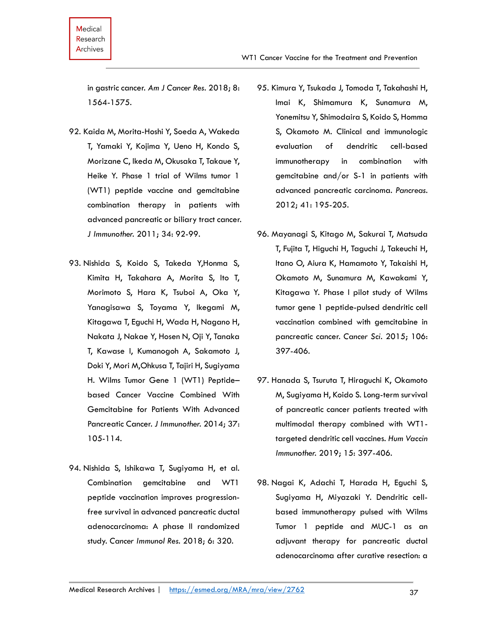in gastric cancer. *Am J Cancer Res.* 2018; 8: 1564-1575.

- 92. Kaida M, Morita-Hoshi Y, Soeda A, Wakeda T, Yamaki Y, Kojima Y, Ueno H, Kondo S, Morizane C, Ikeda M, Okusaka T, Takaue Y, Heike Y. Phase 1 trial of Wilms tumor 1 (WT1) peptide vaccine and gemcitabine combination therapy in patients with advanced pancreatic or biliary tract cancer. *J Immunother.* 2011; 34: 92-99.
- 93. Nishida S, Koido S, Takeda Y,Honma S, Kimita H, Takahara A, Morita S, Ito T, Morimoto S, Hara K, Tsuboi A, Oka Y, Yanagisawa S, Toyama Y, Ikegami M, Kitagawa T, Eguchi H, Wada H, Nagano H, Nakata J, Nakae Y, Hosen N, Oji Y, Tanaka T, Kawase I, Kumanogoh A, Sakamoto J, Doki Y, Mori M,Ohkusa T, Tajiri H, Sugiyama H. Wilms Tumor Gene 1 (WT1) Peptide– based Cancer Vaccine Combined With Gemcitabine for Patients With Advanced Pancreatic Cancer. *J Immunother.* 2014; 37: 105-114.
- 94. Nishida S, Ishikawa T, Sugiyama H, et al. Combination gemcitabine and WT1 peptide vaccination improves progressionfree survival in advanced pancreatic ductal adenocarcinoma: A phase II randomized study. *Cancer Immunol Res.* 2018; 6: 320.
- 95. Kimura Y, Tsukada J, Tomoda T, Takahashi H, Imai K, Shimamura K, Sunamura M, Yonemitsu Y, Shimodaira S, Koido S, Homma S, Okamoto M. Clinical and immunologic evaluation of dendritic cell-based immunotherapy in combination with gemcitabine and/or S-1 in patients with advanced pancreatic carcinoma. *Pancreas.*  2012; 41: 195-205.
- 96. Mayanagi S, Kitago M, Sakurai T, Matsuda T, Fujita T, Higuchi H, Taguchi J, Takeuchi H, Itano O, Aiura K, Hamamoto Y, Takaishi H, Okamoto M, Sunamura M, Kawakami Y, Kitagawa Y. Phase I pilot study of Wilms tumor gene 1 peptide-pulsed dendritic cell vaccination combined with gemcitabine in pancreatic cancer. *Cancer Sci.* 2015; 106: 397-406.
- 97. Hanada S, Tsuruta T, Hiraguchi K, Okamoto M, Sugiyama H, Koido S. Long-term survival of pancreatic cancer patients treated with multimodal therapy combined with WT1 targeted dendritic cell vaccines. *Hum Vaccin Immunother.* 2019; 15: 397-406.
- 98. Nagai K, Adachi T, Harada H, Eguchi S, Sugiyama H, Miyazaki Y. Dendritic cellbased immunotherapy pulsed with Wilms Tumor 1 peptide and MUC-1 as an adjuvant therapy for pancreatic ductal adenocarcinoma after curative resection: a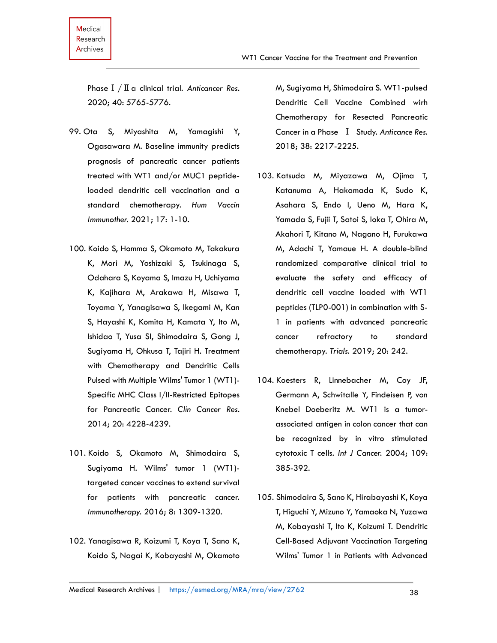Medical

PhaseⅠ/Ⅱa clinical trial. *Anticancer Res.*  2020; 40: 5765-5776.

- 99. Ota S, Miyashita M, Yamagishi Y, Ogasawara M. Baseline immunity predicts prognosis of pancreatic cancer patients treated with WT1 and/or MUC1 peptideloaded dendritic cell vaccination and a standard chemotherapy. *Hum Vaccin Immunother.* 2021; 17: 1-10.
- 100. Koido S, Homma S, Okamoto M, Takakura K, Mori M, Yoshizaki S, Tsukinaga S, Odahara S, Koyama S, Imazu H, Uchiyama K, Kajihara M, Arakawa H, Misawa T, Toyama Y, Yanagisawa S, Ikegami M, Kan S, Hayashi K, Komita H, Kamata Y, Ito M, Ishidao T, Yusa SI, Shimodaira S, Gong J, Sugiyama H, Ohkusa T, Tajiri H. Treatment with Chemotherapy and Dendritic Cells Pulsed with Multiple Wilms' Tumor 1 (WT1)- Specific MHC Class I/II-Restricted Epitopes for Pancreatic Cancer. *Clin Cancer Res.* 2014; 20: 4228-4239.
- 101. Koido S, Okamoto M, Shimodaira S, Sugiyama H. Wilms' tumor 1 (WT1) targeted cancer vaccines to extend survival for patients with pancreatic cancer. *Immunotherapy.* 2016; 8: 1309-1320.
- 102. Yanagisawa R, Koizumi T, Koya T, Sano K, Koido S, Nagai K, Kobayashi M, Okamoto

M, Sugiyama H, Shimodaira S. WT1-pulsed Dendritic Cell Vaccine Combined wirh Chemotherapy for Resected Pancreatic Cancer in a Phase Ⅰ Study. *Anticance Res.*  2018; 38: 2217-2225.

- 103. Katsuda M, Miyazawa M, Ojima T, Katanuma A, Hakamada K, Sudo K, Asahara S, Endo I, Ueno M, Hara K, Yamada S, Fujii T, Satoi S, Ioka T, Ohira M, Akahori T, Kitano M, Nagano H, Furukawa M, Adachi T, Yamaue H. A double-blind randomized comparative clinical trial to evaluate the safety and efficacy of dendritic cell vaccine loaded with WT1 peptides (TLP0-001) in combination with S-1 in patients with advanced pancreatic cancer refractory to standard chemotherapy. *Trials.* 2019; 20: 242.
- 104. Koesters R, Linnebacher M, Coy JF, Germann A, Schwitalle Y, Findeisen P, von Knebel Doeberitz M. WT1 is a tumorassociated antigen in colon cancer that can be recognized by in vitro stimulated cytotoxic T cells. *Int J Cancer.* 2004; 109: 385-392.
- 105. Shimodaira S, Sano K, Hirabayashi K, Koya T, Higuchi Y, Mizuno Y, Yamaoka N, Yuzawa M, Kobayashi T, Ito K, Koizumi T. Dendritic Cell-Based Adjuvant Vaccination Targeting Wilms' Tumor 1 in Patients with Advanced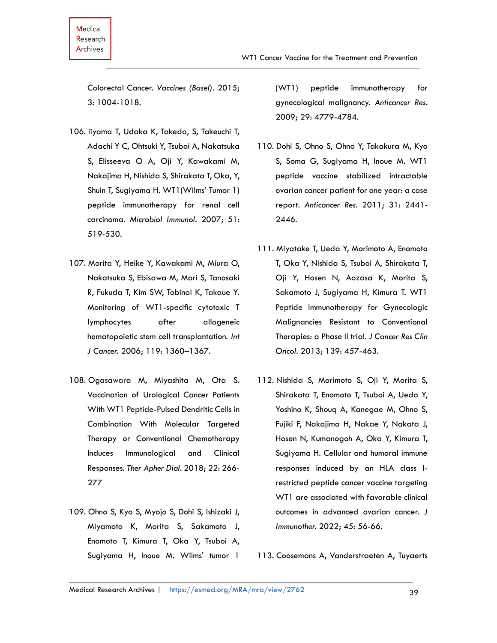Colorectal Cancer. *Vaccines (Basel).* 2015; 3: 1004-1018.

- 106. Iiyama T, Udaka K, Takeda, S, Takeuchi T, Adachi Y C, Ohtsuki Y, Tsuboi A, Nakatsuka S, Elisseeva O A, Oji Y, Kawakami M, Nakajima H, Nishida S, Shirakata T, Oka, Y, Shuin T, Sugiyama H. WT1(Wilms' Tumor 1) peptide immunotherapy for renal cell carcinoma. *Microbiol Immunol.* 2007; 51: 519-530.
- 107. Morita Y, Heike Y, Kawakami M, Miura O, Nakatsuka S, Ebisawa M, Mori S, Tanosaki R, Fukuda T, Kim SW, Tobinai K, Takaue Y. Monitoring of WT1-specific cytotoxic T lymphocytes after allogeneic hematopoietic stem cell transplantation. *Int J Cancer.* 2006; 119: 1360–1367.
- 108. Ogasawara M, Miyashita M, Ota S. Vaccination of Urological Cancer Patients With WT1 Peptide-Pulsed Dendritic Cells in Combination With Molecular Targeted Therapy or Conventional Chemotherapy Induces Immunological and Clinical Responses. *Ther Apher Dial.* 2018; 22: 266- 277
- 109. Ohno S, Kyo S, Myojo S, Dohi S, Ishizaki J, Miyamoto K, Morita S, Sakamoto J, Enomoto T, Kimura T, Oka Y, Tsuboi A, Sugiyama H, Inoue M. Wilms' tumor 1

(WT1) peptide immunotherapy for gynecological malignancy. *Anticancer Res.* 2009; 29: 4779-4784.

- 110. Dohi S, Ohno S, Ohno Y, Takakura M, Kyo S, Soma G, Sugiyama H, Inoue M. WT1 peptide vaccine stabilized intractable ovarian cancer patient for one year: a case report. *Anticancer Res.* 2011; 31: 2441- 2446.
- 111. Miyatake T, Ueda Y, Morimoto A, Enomoto T, Oka Y, Nishida S, Tsuboi A, Shirakata T, Oji Y, Hosen N, Aozasa K, Morita S, Sakamoto J, Sugiyama H, Kimura T. WT1 Peptide Immunotherapy for Gynecologic Malignancies Resistant to Conventional Therapies: a Phase II trial. *J Cancer Res Clin Oncol.* 2013; 139: 457-463.
- 112. Nishida S, Morimoto S, Oji Y, Morita S, Shirakata T, Enomoto T, Tsuboi A, Ueda Y, Yoshino K, Shouq A, Kanegae M, Ohno S, Fujiki F, Nakajima H, Nakae Y, Nakata J, Hosen N, Kumanogoh A, Oka Y, Kimura T, Sugiyama H. Cellular and humoral immune responses induced by an HLA class Irestricted peptide cancer vaccine targeting WT1 are associated with favorable clinical outcomes in advanced ovarian cancer. *J Immunother.* 2022; 45: 56-66.

113. Coosemans A, Vanderstraeten A, Tuyaerts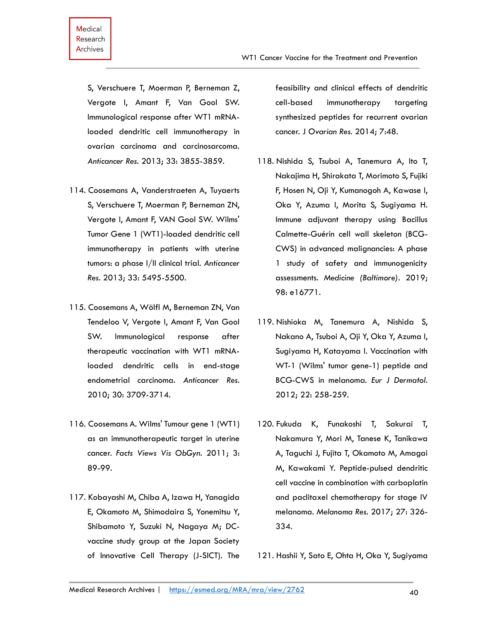S, Verschuere T, Moerman P, Berneman Z, Vergote I, Amant F, Van Gool SW. Immunological response after WT1 mRNAloaded dendritic cell immunotherapy in ovarian carcinoma and carcinosarcoma. *Anticancer Res.* 2013; 33: 3855-3859.

- 114. Coosemans A, Vanderstraeten A, Tuyaerts S, Verschuere T, Moerman P, Berneman ZN, Vergote I, Amant F, VAN Gool SW. Wilms' Tumor Gene 1 (WT1)-loaded dendritic cell immunotherapy in patients with uterine tumors: a phase I/II clinical trial. *Anticancer Res.* 2013; 33: 5495-5500.
- 115. Coosemans A, Wölfl M, Berneman ZN, Van Tendeloo V, Vergote I, Amant F, Van Gool SW. Immunological response after therapeutic vaccination with WT1 mRNAloaded dendritic cells in end-stage endometrial carcinoma. *Anticancer Res.* 2010; 30: 3709-3714.
- 116. Coosemans A. Wilms' Tumour gene 1 (WT1) as an immunotherapeutic target in uterine cancer. *Facts Views Vis ObGyn.* 2011; 3: 89-99.
- 117. Kobayashi M, Chiba A, Izawa H, Yanagida E, Okamoto M, Shimodaira S, Yonemitsu Y, Shibamoto Y, Suzuki N, Nagaya M; DCvaccine study group at the Japan Society of Innovative Cell Therapy (J-SICT). The

feasibility and clinical effects of dendritic cell-based immunotherapy targeting synthesized peptides for recurrent ovarian cancer. J *Ovarian Res.* 2014; 7:48.

- 118. Nishida S, Tsuboi A, Tanemura A, Ito T, Nakajima H, Shirakata T, Morimoto S, Fujiki F, Hosen N, Oji Y, Kumanogoh A, Kawase I, Oka Y, Azuma I, Morita S, Sugiyama H. Immune adjuvant therapy using Bacillus Calmette-Guérin cell wall skeleton (BCG-CWS) in advanced malignancies: A phase 1 study of safety and immunogenicity assessments. *Medicine (Baltimore).* 2019; 98: e16771.
- 119. Nishioka M, Tanemura A, Nishida S, Nakano A, Tsuboi A, Oji Y, Oka Y, Azuma I, Sugiyama H, Katayama I. Vaccination with WT-1 (Wilms' tumor gene-1) peptide and BCG-CWS in melanoma. *Eur J Dermatol.*  2012; 22: 258-259.
- 120. Fukuda K, Funakoshi T, Sakurai T, Nakamura Y, Mori M, Tanese K, Tanikawa A, Taguchi J, Fujita T, Okamoto M, Amagai M, Kawakami Y. Peptide-pulsed dendritic cell vaccine in combination with carboplatin and paclitaxel chemotherapy for stage IV melanoma. *Melanoma Res.* 2017; 27: 326- 334.
- 121. Hashii Y, Sato E, Ohta H, Oka Y, Sugiyama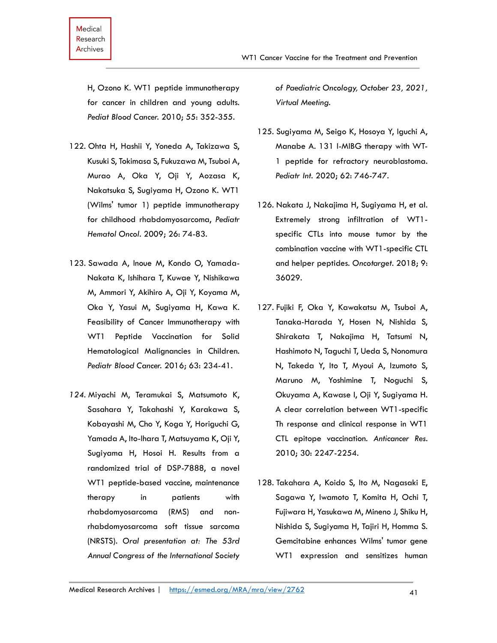H, Ozono K. WT1 peptide immunotherapy for cancer in children and young adults. *Pediat Blood Cancer.* 2010; 55: 352-355.

- 122. Ohta H, Hashii Y, Yoneda A, Takizawa S, Kusuki S, Tokimasa S, Fukuzawa M, Tsuboi A, Murao A, Oka Y, Oji Y, Aozasa K, Nakatsuka S, Sugiyama H, Ozono K. WT1 (Wilms' tumor 1) peptide immunotherapy for childhood rhabdomyosarcoma, *Pediatr Hematol Oncol.* 2009; 26: 74-83.
- 123. Sawada A, Inoue M, Kondo O, Yamada-Nakata K, Ishihara T, Kuwae Y, Nishikawa M, Ammori Y, Akihiro A, Oji Y, Koyama M, Oka Y, Yasui M, Sugiyama H, Kawa K. Feasibility of Cancer Immunotherapy with WT1 Peptide Vaccination for Solid Hematological Malignancies in Children. *Pediatr Blood Cancer.* 2016; 63: 234-41.
- *124.* Miyachi M, Teramukai S, Matsumoto K, Sasahara Y, Takahashi Y, Karakawa S, Kobayashi M, Cho Y, Koga Y, Horiguchi G, Yamada A, Ito-Ihara T, Matsuyama K, Oji Y, Sugiyama H, Hosoi H. Results from a randomized trial of DSP-7888, a novel WT1 peptide-based vaccine, maintenance therapy in patients with rhabdomyosarcoma (RMS) and nonrhabdomyosarcoma soft tissue sarcoma (NRSTS). *Oral presentation at: The 53rd Annual Congress of the International Society*

*of Paediatric Oncology, October 23, 2021, Virtual Meeting.*

WT1 Cancer Vaccine for the Treatment and Prevention

- 125. Sugiyama M, Seigo K, Hosoya Y, Iguchi A, Manabe A. 131 I-MIBG therapy with WT-1 peptide for refractory neuroblastoma. *Pediatr Int.* 2020; 62: 746-747.
- 126. Nakata J, Nakajima H, Sugiyama H, et al. Extremely strong infiltration of WT1 specific CTLs into mouse tumor by the combination vaccine with WT1-specific CTL and helper peptides. *Oncotarget*. 2018; 9: 36029.
- 127. Fujiki F, Oka Y, Kawakatsu M, Tsuboi A, Tanaka-Harada Y, Hosen N, Nishida S, Shirakata T, Nakajima H, Tatsumi N, Hashimoto N, Taguchi T, Ueda S, Nonomura N, Takeda Y, Ito T, Myoui A, Izumoto S, Maruno M, Yoshimine T, Noguchi S, Okuyama A, Kawase I, Oji Y, Sugiyama H. A clear correlation between WT1-specific Th response and clinical response in WT1 CTL epitope vaccination. *Anticancer Res.* 2010; 30: 2247-2254.
- 128. Takahara A, Koido S, Ito M, Nagasaki E, Sagawa Y, Iwamoto T, Komita H, Ochi T, Fujiwara H, Yasukawa M, Mineno J, Shiku H, Nishida S, Sugiyama H, Tajiri H, Homma S. Gemcitabine enhances Wilms' tumor gene WT1 expression and sensitizes human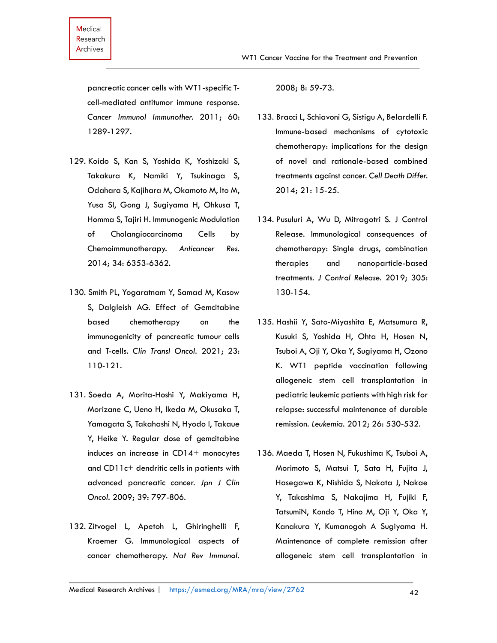pancreatic cancer cells with WT1-specific Tcell-mediated antitumor immune response. *Cancer Immunol Immunother.* 2011; 60: 1289-1297.

- 129. Koido S, Kan S, Yoshida K, Yoshizaki S, Takakura K, Namiki Y, Tsukinaga S, Odahara S, Kajihara M, Okamoto M, Ito M, Yusa SI, Gong J, Sugiyama H, Ohkusa T, Homma S, Tajiri H. Immunogenic Modulation of Cholangiocarcinoma Cells by Chemoimmunotherapy. *Anticancer Res.*  2014; 34: 6353-6362.
- 130. Smith PL, Yogaratnam Y, Samad M, Kasow S, Dalgleish AG. Effect of Gemcitabine based chemotherapy on the immunogenicity of pancreatic tumour cells and T-cells. *Clin Transl Oncol.* 2021; 23: 110-121.
- 131. Soeda A, Morita-Hoshi Y, Makiyama H, Morizane C, Ueno H, Ikeda M, Okusaka T, Yamagata S, Takahashi N, Hyodo I, Takaue Y, Heike Y. Regular dose of gemcitabine induces an increase in CD14+ monocytes and CD11c+ dendritic cells in patients with advanced pancreatic cancer. *Jpn J Clin Oncol.* 2009; 39: 797-806.
- 132. Zitvogel L, Apetoh L, Ghiringhelli F, Kroemer G. Immunological aspects of cancer chemotherapy. *Nat Rev Immunol.*

2008; 8: 59-73.

- 133. Bracci L, Schiavoni G, Sistigu A, Belardelli F. Immune-based mechanisms of cytotoxic chemotherapy: implications for the design of novel and rationale-based combined treatments against cancer. *Cell Death Differ.*  2014; 21: 15-25.
- 134. Pusuluri A, Wu D, Mitragotri S. J Control Release. Immunological consequences of chemotherapy: Single drugs, combination therapies and nanoparticle-based treatments. *J Control Release.* 2019; 305: 130-154.
- 135. Hashii Y, Sato-Miyashita E, Matsumura R, Kusuki S, Yoshida H, Ohta H, Hosen N, Tsuboi A, Oji Y, Oka Y, Sugiyama H, Ozono K. WT1 peptide vaccination following allogeneic stem cell transplantation in pediatric leukemic patients with high risk for relapse: successful maintenance of durable remission. *Leukemia.* 2012; 26: 530-532.
- 136. Maeda T, Hosen N, Fukushima K, Tsuboi A, Morimoto S, Matsui T, Sata H, Fujita J, Hasegawa K, Nishida S, Nakata J, Nakae Y, Takashima S, Nakajima H, Fujiki F, TatsumiN, Kondo T, Hino M, Oji Y, Oka Y, Kanakura Y, Kumanogoh A Sugiyama H. Maintenance of complete remission after allogeneic stem cell transplantation in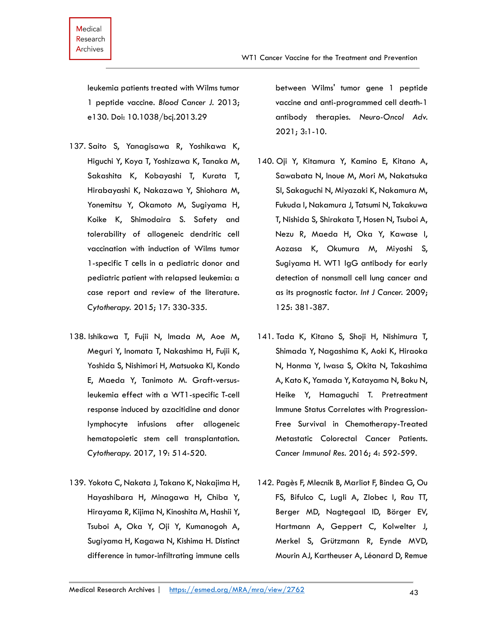leukemia patients treated with Wilms tumor 1 peptide vaccine. *Blood Cancer J.* 2013; e130. Doi: 10.1038/bcj.2013.29

- 137. Saito S, Yanagisawa R, Yoshikawa K, Higuchi Y, Koya T, Yoshizawa K, Tanaka M, Sakashita K, Kobayashi T, Kurata T, Hirabayashi K, Nakazawa Y, Shiohara M, Yonemitsu Y, Okamoto M, Sugiyama H, Koike K, Shimodaira S. Safety and tolerability of allogeneic dendritic cell vaccination with induction of Wilms tumor 1-specific T cells in a pediatric donor and pediatric patient with relapsed leukemia: a case report and review of the literature. *Cytotherapy.* 2015; 17: 330-335.
- 138. Ishikawa T, Fujii N, Imada M, Aoe M, Meguri Y, Inomata T, Nakashima H, Fujii K, Yoshida S, Nishimori H, Matsuoka KI, Kondo E, Maeda Y, Tanimoto M. Graft-versusleukemia effect with a WT1-specific T-cell response induced by azacitidine and donor lymphocyte infusions after allogeneic hematopoietic stem cell transplantation. *Cytotherapy.* 2017, 19: 514-520.
- 139. Yokota C, Nakata J, Takano K, Nakajima H, Hayashibara H, Minagawa H, Chiba Y, Hirayama R, Kijima N, Kinoshita M, Hashii Y, Tsuboi A, Oka Y, Oji Y, Kumanogoh A, Sugiyama H, Kagawa N, Kishima H. Distinct difference in tumor-infiltrating immune cells

between Wilms' tumor gene 1 peptide vaccine and anti-programmed cell death-1 antibody therapies. *Neuro-Oncol Adv.*  2021; 3:1-10.

- 140. Oji Y, Kitamura Y, Kamino E, Kitano A, Sawabata N, Inoue M, Mori M, Nakatsuka SI, Sakaguchi N, Miyazaki K, Nakamura M, Fukuda I, Nakamura J, Tatsumi N, Takakuwa T, Nishida S, Shirakata T, Hosen N, Tsuboi A, Nezu R, Maeda H, Oka Y, Kawase I, Aozasa K, Okumura M, Miyoshi S, Sugiyama H. WT1 IgG antibody for early detection of nonsmall cell lung cancer and as its prognostic factor. *Int J Cancer.* 2009; 125: 381-387.
- 141. Tada K, Kitano S, Shoji H, Nishimura T, Shimada Y, Nagashima K, Aoki K, Hiraoka N, Honma Y, Iwasa S, Okita N, Takashima A, Kato K, Yamada Y, Katayama N, Boku N, Heike Y, Hamaguchi T. Pretreatment Immune Status Correlates with Progression-Free Survival in Chemotherapy-Treated Metastatic Colorectal Cancer Patients. *Cancer Immunol Res.* 2016; 4: 592-599.
- 142. Pagès F, Mlecnik B, Marliot F, Bindea G, Ou FS, Bifulco C, Lugli A, Zlobec I, Rau TT, Berger MD, Nagtegaal ID, Börger EV, Hartmann A, Geppert C, Kolwelter J, Merkel S, Grützmann R, Eynde MVD, Mourin AJ, Kartheuser A, Léonard D, Remue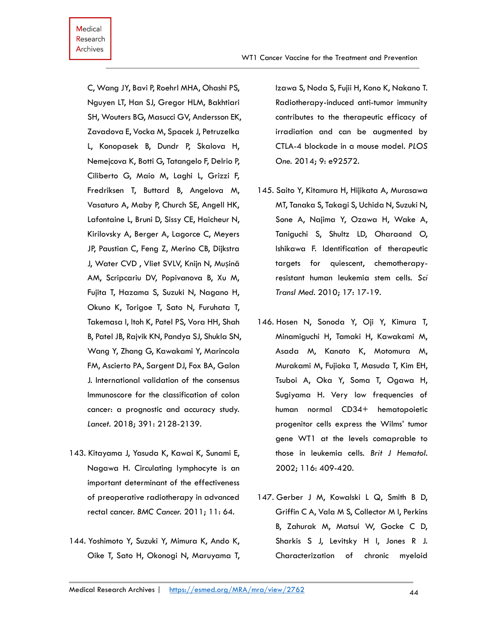C, Wang JY, Bavi P, Roehrl MHA, Ohashi PS, Nguyen LT, Han SJ, Gregor HLM, Bakhtiari SH, Wouters BG, Masucci GV, Andersson EK, Zavadova E, Vocka M, Spacek J, Petruzelka L, Konopasek B, Dundr P, Skalova H, Nemejcova K, Botti G, Tatangelo F, Delrio P, Ciliberto G, Maio M, Laghi L, Grizzi F, Fredriksen T, Buttard B, Angelova M, Vasaturo A, Maby P, Church SE, Angell HK, Lafontaine L, Bruni D, Sissy CE, Haicheur N, Kirilovsky A, Berger A, Lagorce C, Meyers JP, Paustian C, Feng Z, Merino CB, Dijkstra J, Water CVD , Vliet SVLV, Knijn N, Mușină AM, Scripcariu DV, Popivanova B, Xu M, Fujita T, Hazama S, Suzuki N, Nagano H, Okuno K, Torigoe T, Sato N, Furuhata T, Takemasa I, Itoh K, Patel PS, Vora HH, Shah B, Patel JB, Rajvik KN, Pandya SJ, Shukla SN, Wang Y, Zhang G, Kawakami Y, Marincola FM, Ascierto PA, Sargent DJ, Fox BA, Galon J. International validation of the consensus Immunoscore for the classification of colon cancer: a prognostic and accuracy study. *Lancet.* 2018; 391: 2128-2139.

- 143. Kitayama J, Yasuda K, Kawai K, Sunami E, Nagawa H. Circulating lymphocyte is an important determinant of the effectiveness of preoperative radiotherapy in advanced rectal cancer. *BMC Cancer.* 2011; 11: 64.
- 144. Yoshimoto Y, Suzuki Y, Mimura K, Ando K, Oike T, Sato H, Okonogi N, Maruyama T,

Izawa S, Noda S, Fujii H, Kono K, Nakano T. Radiotherapy-induced anti-tumor immunity contributes to the therapeutic efficacy of irradiation and can be augmented by CTLA-4 blockade in a mouse model. *PLOS One.* 2014; 9: e92572.

- 145. Saito Y, Kitamura H, Hijikata A, Murasawa MT, Tanaka S, Takagi S, Uchida N, Suzuki N, Sone A, Najima Y, Ozawa H, Wake A, Taniguchi S, Shultz LD, Oharaand O, Ishikawa F. Identification of therapeutic targets for quiescent, chemotherapyresistant human leukemia stem cells. *Sci Transl Med.* 2010; 17: 17-19.
- 146. Hosen N, Sonoda Y, Oji Y, Kimura T, Minamiguchi H, Tamaki H, Kawakami M, Asada M, Kanato K, Motomura M, Murakami M, Fujioka T, Masuda T, Kim EH, Tsuboi A, Oka Y, Soma T, Ogawa H, Sugiyama H. Very low frequencies of human normal CD34+ hematopoietic progenitor cells express the Wilms' tumor gene WT1 at the levels comaprable to those in leukemia cells. *Brit J Hematol.*  2002; 116: 409-420.
- 147. Gerber J M, Kowalski L Q, Smith B D, Griffin C A, Vala M S, Collector M I, Perkins B, Zahurak M, Matsui W, Gocke C D, Sharkis S J, Levitsky H I, Jones R J. Characterization of chronic myeloid